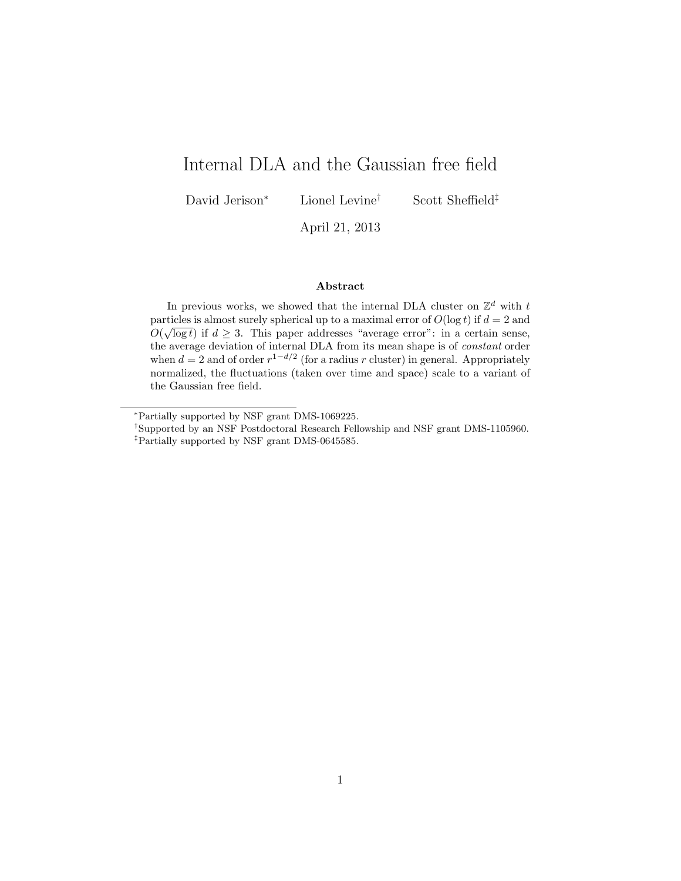# Internal DLA and the Gaussian free field

David Jerison<sup>∗</sup> Lionel Levine† Scott Sheffield‡

April 21, 2013

#### Abstract

In previous works, we showed that the internal DLA cluster on  $\mathbb{Z}^d$  with t particles is almost surely spherical up to a maximal error of  $O(\log t)$  if  $d = 2$  and  $O(\sqrt{\log t})$  if  $d \geq 3$ . This paper addresses "average error": in a certain sense, the average deviation of internal DLA from its mean shape is of constant order when  $d = 2$  and of order  $r^{1-d/2}$  (for a radius r cluster) in general. Appropriately normalized, the fluctuations (taken over time and space) scale to a variant of the Gaussian free field.

<sup>∗</sup>Partially supported by NSF grant DMS-1069225.

<sup>†</sup>Supported by an NSF Postdoctoral Research Fellowship and NSF grant DMS-1105960. ‡Partially supported by NSF grant DMS-0645585.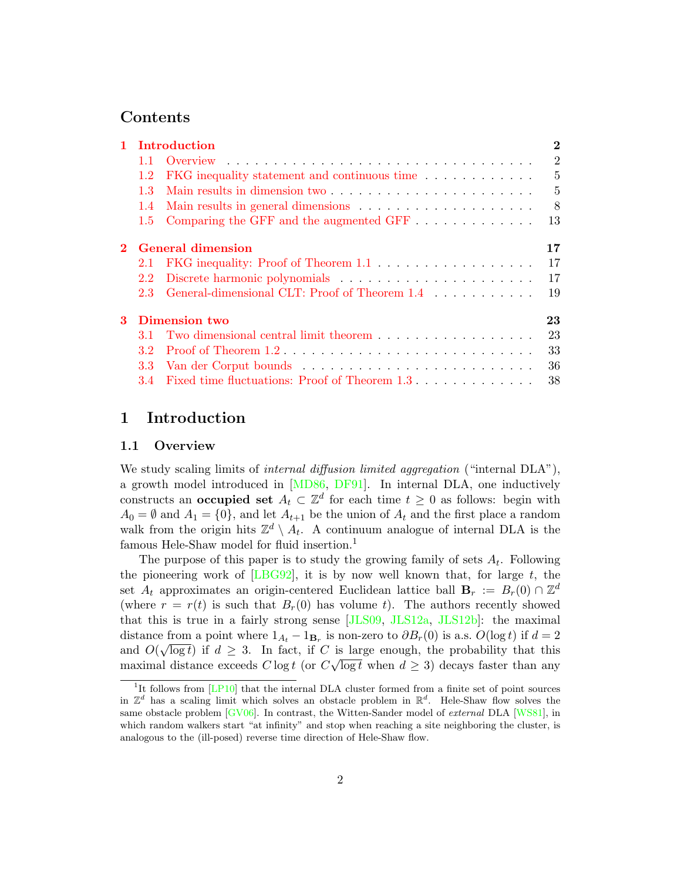## Contents

|   | 1 Introduction           |                                                                   |                 |
|---|--------------------------|-------------------------------------------------------------------|-----------------|
|   | 1.1                      |                                                                   | 2               |
|   | 1.2                      | FKG inequality statement and continuous time                      | $5\overline{)}$ |
|   | 1.3                      |                                                                   | $\mathbf{5}$    |
|   | 1.4                      |                                                                   | 8               |
|   | $1.5^{\circ}$            | Comparing the GFF and the augmented GFF $\dots \dots \dots \dots$ | 13              |
|   | <b>General dimension</b> |                                                                   |                 |
|   | $2.1\,$                  |                                                                   | 17              |
|   | 2.2                      |                                                                   | 17              |
|   | 2.3                      | General-dimensional CLT: Proof of Theorem 1.4                     | 19              |
| 3 | Dimension two            |                                                                   |                 |
|   | 3.1                      | Two dimensional central limit theorem                             | 23              |
|   | 3.2                      |                                                                   | 33              |
|   | 3.3                      |                                                                   | 36              |
|   |                          | 3.4 Fixed time fluctuations: Proof of Theorem 1.3                 | 38              |

## <span id="page-1-0"></span>1 Introduction

#### <span id="page-1-1"></span>1.1 Overview

We study scaling limits of internal diffusion limited aggregation ("internal  $DLA$ "), a growth model introduced in [\[MD86,](#page-39-0) [DF91\]](#page-38-0). In internal DLA, one inductively constructs an **occupied set**  $A_t \subset \mathbb{Z}^d$  for each time  $t \geq 0$  as follows: begin with  $A_0 = \emptyset$  and  $A_1 = \{0\}$ , and let  $A_{t+1}$  be the union of  $A_t$  and the first place a random walk from the origin hits  $\mathbb{Z}^d \setminus A_t$ . A continuum analogue of internal DLA is the famous Hele-Shaw model for fluid insertion.<sup>1</sup>

The purpose of this paper is to study the growing family of sets  $A_t$ . Following the pioneering work of [\[LBG92\]](#page-39-1), it is by now well known that, for large  $t$ , the set  $A_t$  approximates an origin-centered Euclidean lattice ball  $\mathbf{B}_r := B_r(0) \cap \mathbb{Z}^d$ (where  $r = r(t)$  is such that  $B_r(0)$  has volume t). The authors recently showed that this is true in a fairly strong sense [\[JLS09,](#page-39-2) [JLS12a,](#page-39-3) [JLS12b\]](#page-39-4): the maximal distance from a point where  $1_{A_t} - 1_{B_r}$  is non-zero to  $\partial B_r(0)$  is a.s.  $O(\log t)$  if  $d = 2$ and  $O(\sqrt{\log t})$  if  $d \geq 3$ . In fact, if C is large enough, the probability that this maximal distance exceeds  $C \log t$  (or  $C \sqrt{\log t}$  when  $d \geq 3$ ) decays faster than any

<sup>&</sup>lt;sup>1</sup>It follows from [\[LP10\]](#page-39-5) that the internal DLA cluster formed from a finite set of point sources in  $\mathbb{Z}^d$  has a scaling limit which solves an obstacle problem in  $\mathbb{R}^d$ . Hele-Shaw flow solves the same obstacle problem  $\lbrack$  GV06. In contrast, the Witten-Sander model of *external* DLA  $\lbrack$ WS81. in which random walkers start "at infinity" and stop when reaching a site neighboring the cluster, is analogous to the (ill-posed) reverse time direction of Hele-Shaw flow.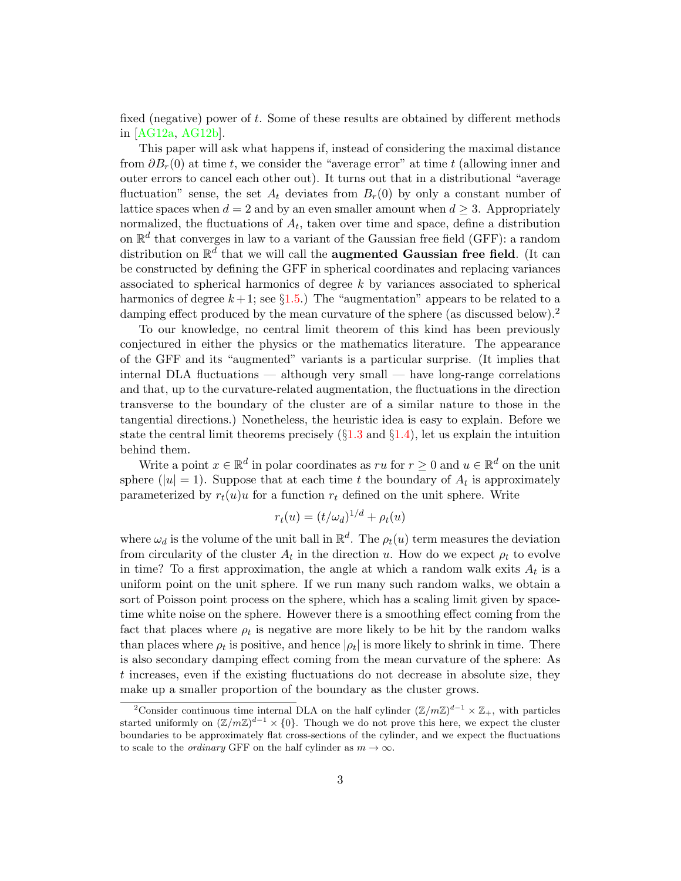fixed (negative) power of t. Some of these results are obtained by different methods in [\[AG12a,](#page-38-2) [AG12b\]](#page-38-3).

This paper will ask what happens if, instead of considering the maximal distance from  $\partial B_r(0)$  at time t, we consider the "average error" at time t (allowing inner and outer errors to cancel each other out). It turns out that in a distributional "average fluctuation" sense, the set  $A_t$  deviates from  $B_r(0)$  by only a constant number of lattice spaces when  $d = 2$  and by an even smaller amount when  $d \geq 3$ . Appropriately normalized, the fluctuations of  $A_t$ , taken over time and space, define a distribution on  $\mathbb{R}^d$  that converges in law to a variant of the Gaussian free field (GFF): a random distribution on  $\mathbb{R}^d$  that we will call the **augmented Gaussian free field**. (It can be constructed by defining the GFF in spherical coordinates and replacing variances associated to spherical harmonics of degree  $k$  by variances associated to spherical harmonics of degree  $k+1$ ; see  $\S1.5$ .) The "augmentation" appears to be related to a damping effect produced by the mean curvature of the sphere (as discussed below).<sup>2</sup>

To our knowledge, no central limit theorem of this kind has been previously conjectured in either the physics or the mathematics literature. The appearance of the GFF and its "augmented" variants is a particular surprise. (It implies that internal DLA fluctuations — although very small — have long-range correlations and that, up to the curvature-related augmentation, the fluctuations in the direction transverse to the boundary of the cluster are of a similar nature to those in the tangential directions.) Nonetheless, the heuristic idea is easy to explain. Before we state the central limit theorems precisely  $(\S1.3 \text{ and } \S1.4)$  $(\S1.3 \text{ and } \S1.4)$  $(\S1.3 \text{ and } \S1.4)$  $(\S1.3 \text{ and } \S1.4)$ , let us explain the intuition behind them.

Write a point  $x \in \mathbb{R}^d$  in polar coordinates as ru for  $r \geq 0$  and  $u \in \mathbb{R}^d$  on the unit sphere ( $|u|=1$ ). Suppose that at each time t the boundary of  $A_t$  is approximately parameterized by  $r_t(u)u$  for a function  $r_t$  defined on the unit sphere. Write

$$
r_t(u) = (t/\omega_d)^{1/d} + \rho_t(u)
$$

where  $\omega_d$  is the volume of the unit ball in  $\mathbb{R}^d$ . The  $\rho_t(u)$  term measures the deviation from circularity of the cluster  $A_t$  in the direction u. How do we expect  $\rho_t$  to evolve in time? To a first approximation, the angle at which a random walk exits  $A_t$  is a uniform point on the unit sphere. If we run many such random walks, we obtain a sort of Poisson point process on the sphere, which has a scaling limit given by spacetime white noise on the sphere. However there is a smoothing effect coming from the fact that places where  $\rho_t$  is negative are more likely to be hit by the random walks than places where  $\rho_t$  is positive, and hence  $|\rho_t|$  is more likely to shrink in time. There is also secondary damping effect coming from the mean curvature of the sphere: As t increases, even if the existing fluctuations do not decrease in absolute size, they make up a smaller proportion of the boundary as the cluster grows.

<sup>&</sup>lt;sup>2</sup>Consider continuous time internal DLA on the half cylinder  $(\mathbb{Z}/m\mathbb{Z})^{d-1} \times \mathbb{Z}_+$ , with particles started uniformly on  $(\mathbb{Z}/m\mathbb{Z})^{d-1} \times \{0\}$ . Though we do not prove this here, we expect the cluster boundaries to be approximately flat cross-sections of the cylinder, and we expect the fluctuations to scale to the *ordinary* GFF on the half cylinder as  $m \to \infty$ .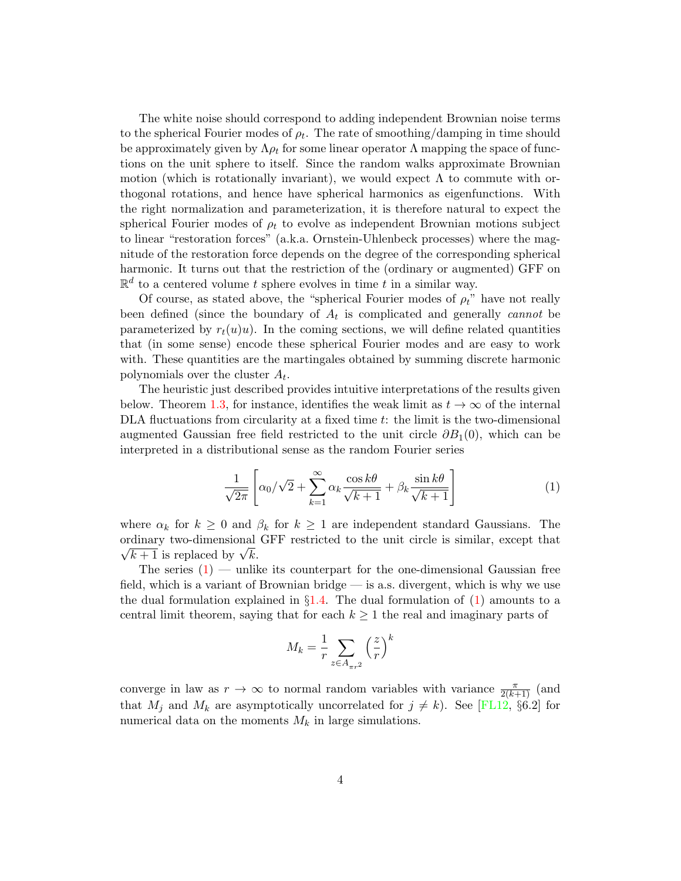The white noise should correspond to adding independent Brownian noise terms to the spherical Fourier modes of  $\rho_t$ . The rate of smoothing/damping in time should be approximately given by  $\Lambda \rho_t$  for some linear operator  $\Lambda$  mapping the space of functions on the unit sphere to itself. Since the random walks approximate Brownian motion (which is rotationally invariant), we would expect  $\Lambda$  to commute with orthogonal rotations, and hence have spherical harmonics as eigenfunctions. With the right normalization and parameterization, it is therefore natural to expect the spherical Fourier modes of  $\rho_t$  to evolve as independent Brownian motions subject to linear "restoration forces" (a.k.a. Ornstein-Uhlenbeck processes) where the magnitude of the restoration force depends on the degree of the corresponding spherical harmonic. It turns out that the restriction of the (ordinary or augmented) GFF on  $\mathbb{R}^d$  to a centered volume t sphere evolves in time t in a similar way.

Of course, as stated above, the "spherical Fourier modes of  $\rho_t$ " have not really been defined (since the boundary of  $A_t$  is complicated and generally *cannot* be parameterized by  $r_t(u)u$ . In the coming sections, we will define related quantities that (in some sense) encode these spherical Fourier modes and are easy to work with. These quantities are the martingales obtained by summing discrete harmonic polynomials over the cluster  $A_t$ .

The heuristic just described provides intuitive interpretations of the results given below. Theorem [1.3,](#page-6-1) for instance, identifies the weak limit as  $t \to \infty$  of the internal DLA fluctuations from circularity at a fixed time t: the limit is the two-dimensional augmented Gaussian free field restricted to the unit circle  $\partial B_1(0)$ , which can be interpreted in a distributional sense as the random Fourier series

<span id="page-3-0"></span>
$$
\frac{1}{\sqrt{2\pi}} \left[ \alpha_0 / \sqrt{2} + \sum_{k=1}^{\infty} \alpha_k \frac{\cos k\theta}{\sqrt{k+1}} + \beta_k \frac{\sin k\theta}{\sqrt{k+1}} \right]
$$
(1)

where  $\alpha_k$  for  $k \geq 0$  and  $\beta_k$  for  $k \geq 1$  are independent standard Gaussians. The ordinary two-dimensional GFF restricted to the unit circle is similar, except that dinary two-dimensional  $\overline{k+1}$  is replaced by  $\sqrt{k}$ .

The series  $(1)$  — unlike its counterpart for the one-dimensional Gaussian free field, which is a variant of Brownian bridge — is a.s. divergent, which is why we use the dual formulation explained in  $\S1.4$ . The dual formulation of [\(1\)](#page-3-0) amounts to a central limit theorem, saying that for each  $k \geq 1$  the real and imaginary parts of

$$
M_k = \frac{1}{r} \sum_{z \in A_{\pi r^2}} \left(\frac{z}{r}\right)^k
$$

converge in law as  $r \to \infty$  to normal random variables with variance  $\frac{\pi}{2(k+1)}$  (and that  $M_j$  and  $M_k$  are asymptotically uncorrelated for  $j \neq k$ ). See [\[FL12,](#page-38-4) §6.2] for numerical data on the moments  $M_k$  in large simulations.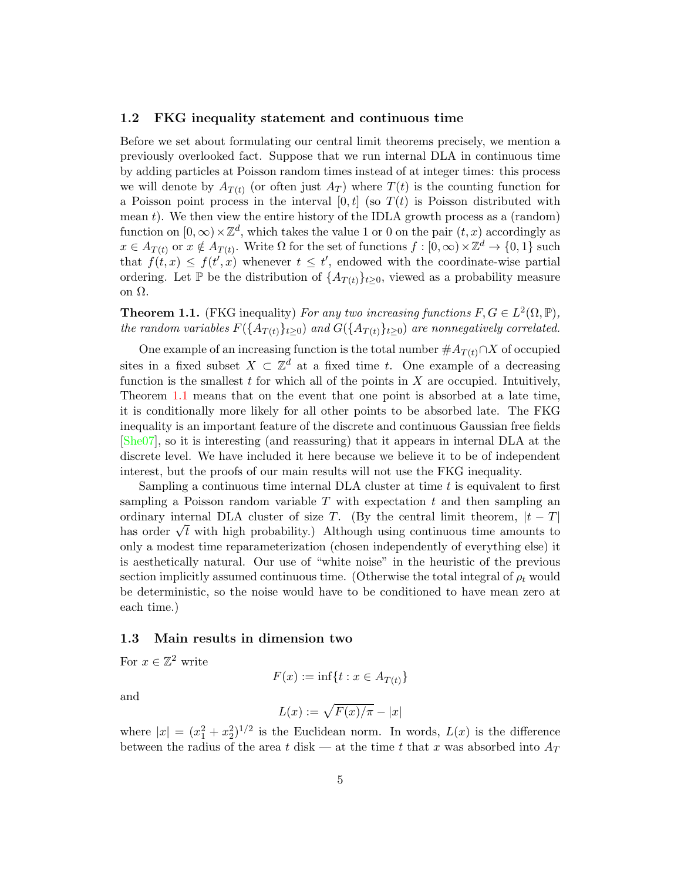#### <span id="page-4-0"></span>1.2 FKG inequality statement and continuous time

Before we set about formulating our central limit theorems precisely, we mention a previously overlooked fact. Suppose that we run internal DLA in continuous time by adding particles at Poisson random times instead of at integer times: this process we will denote by  $A_{T(t)}$  (or often just  $A_T$ ) where  $T(t)$  is the counting function for a Poisson point process in the interval  $[0, t]$  (so  $T(t)$  is Poisson distributed with mean  $t$ ). We then view the entire history of the IDLA growth process as a (random) function on  $[0, \infty) \times \mathbb{Z}^d$ , which takes the value 1 or 0 on the pair  $(t, x)$  accordingly as  $x \in A_{T(t)}$  or  $x \notin A_{T(t)}$ . Write  $\Omega$  for the set of functions  $f : [0, \infty) \times \mathbb{Z}^d \to \{0, 1\}$  such that  $f(t,x) \leq f(t',x)$  whenever  $t \leq t'$ , endowed with the coordinate-wise partial ordering. Let  $\mathbb P$  be the distribution of  $\{A_{T(t)}\}_{t\geq0}$ , viewed as a probability measure on Ω.

<span id="page-4-2"></span>**Theorem 1.1.** (FKG inequality) For any two increasing functions  $F, G \in L^2(\Omega, \mathbb{P}),$ the random variables  $F({A_{T(t)}}_{t\geq0})$  and  $G({A_{T(t)}}_{t\geq0})$  are nonnegatively correlated.

One example of an increasing function is the total number  $#A_{T(t)} \cap X$  of occupied sites in a fixed subset  $X \subset \mathbb{Z}^d$  at a fixed time t. One example of a decreasing function is the smallest  $t$  for which all of the points in  $X$  are occupied. Intuitively, Theorem [1.1](#page-4-2) means that on the event that one point is absorbed at a late time, it is conditionally more likely for all other points to be absorbed late. The FKG inequality is an important feature of the discrete and continuous Gaussian free fields [\[She07\]](#page-39-7), so it is interesting (and reassuring) that it appears in internal DLA at the discrete level. We have included it here because we believe it to be of independent interest, but the proofs of our main results will not use the FKG inequality.

Sampling a continuous time internal DLA cluster at time  $t$  is equivalent to first sampling a Poisson random variable  $T$  with expectation  $t$  and then sampling an ordinary internal DLA cluster of size T. (By the central limit theorem,  $|t - T|$ ) ordinary internal DLA cluster of size 1. (By the central limit theorem,  $\lvert t - 1 \rvert$  has order  $\sqrt{t}$  with high probability.) Although using continuous time amounts to only a modest time reparameterization (chosen independently of everything else) it is aesthetically natural. Our use of "white noise" in the heuristic of the previous section implicitly assumed continuous time. (Otherwise the total integral of  $\rho_t$  would be deterministic, so the noise would have to be conditioned to have mean zero at each time.)

#### <span id="page-4-1"></span>1.3 Main results in dimension two

For  $x \in \mathbb{Z}^2$  write

$$
F(x) := \inf\{t : x \in A_{T(t)}\}
$$

and

$$
L(x) := \sqrt{F(x)/\pi} - |x|
$$

where  $|x| = (x_1^2 + x_2^2)^{1/2}$  is the Euclidean norm. In words,  $L(x)$  is the difference between the radius of the area t disk — at the time t that x was absorbed into  $A_T$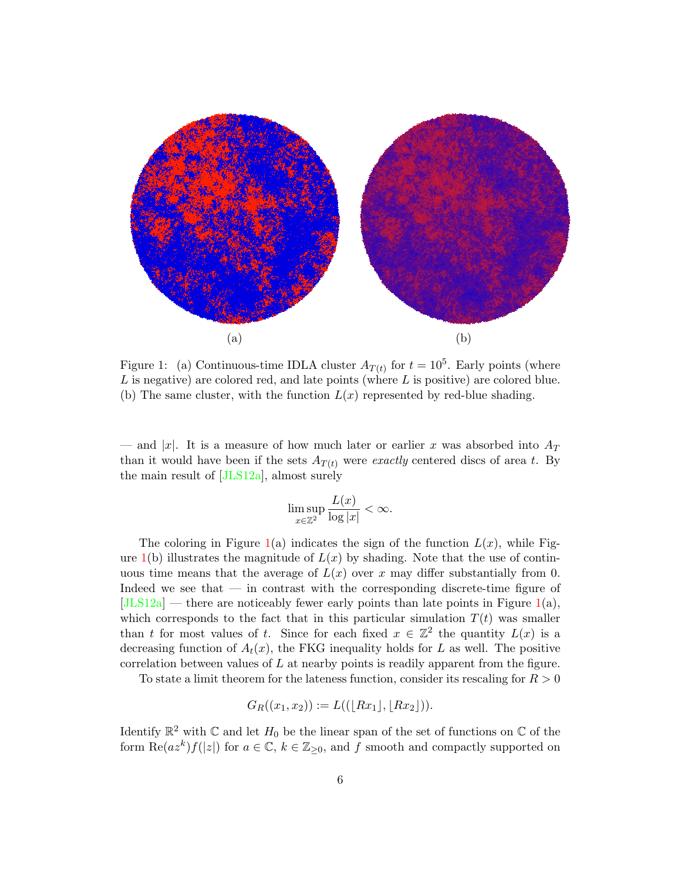

<span id="page-5-0"></span>Figure 1: (a) Continuous-time IDLA cluster  $A_{T(t)}$  for  $t = 10^5$ . Early points (where  $L$  is negative) are colored red, and late points (where  $L$  is positive) are colored blue. (b) The same cluster, with the function  $L(x)$  represented by red-blue shading.

— and |x|. It is a measure of how much later or earlier x was absorbed into  $A_T$ than it would have been if the sets  $A_{T(t)}$  were exactly centered discs of area t. By the main result of [\[JLS12a\]](#page-39-3), almost surely

$$
\limsup_{x \in \mathbb{Z}^2} \frac{L(x)}{\log |x|} < \infty.
$$

The coloring in Figure [1\(](#page-5-0)a) indicates the sign of the function  $L(x)$ , while Figure  $1(b)$  $1(b)$  illustrates the magnitude of  $L(x)$  by shading. Note that the use of continuous time means that the average of  $L(x)$  over x may differ substantially from 0. Indeed we see that — in contrast with the corresponding discrete-time figure of  $[JLS12a]$  — there are noticeably fewer early points than late points in Figure [1\(](#page-5-0)a), which corresponds to the fact that in this particular simulation  $T(t)$  was smaller than t for most values of t. Since for each fixed  $x \in \mathbb{Z}^2$  the quantity  $L(x)$  is a decreasing function of  $A_t(x)$ , the FKG inequality holds for L as well. The positive correlation between values of  $L$  at nearby points is readily apparent from the figure.

To state a limit theorem for the lateness function, consider its rescaling for  $R > 0$ 

$$
G_R((x_1,x_2)) := L((\lfloor Rx_1 \rfloor, \lfloor Rx_2 \rfloor)).
$$

Identify  $\mathbb{R}^2$  with  $\mathbb C$  and let  $H_0$  be the linear span of the set of functions on  $\mathbb C$  of the form  $\text{Re}(az^k)f(|z|)$  for  $a \in \mathbb{C}$ ,  $k \in \mathbb{Z}_{\geq 0}$ , and f smooth and compactly supported on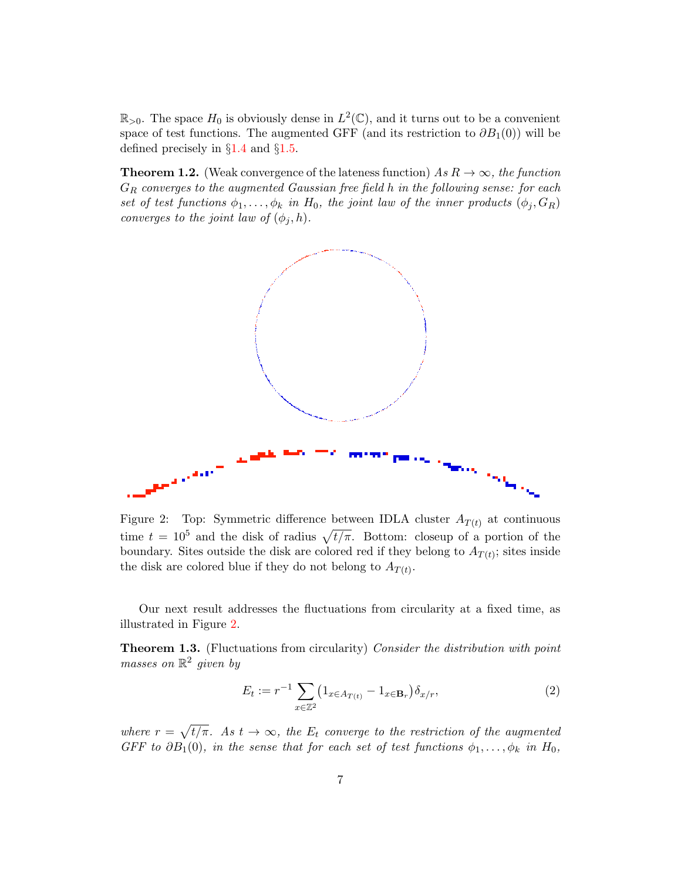$\mathbb{R}_{>0}$ . The space  $H_0$  is obviously dense in  $L^2(\mathbb{C})$ , and it turns out to be a convenient space of test functions. The augmented GFF (and its restriction to  $\partial B_1(0)$ ) will be defined precisely in  $\S1.4$  $\S1.4$  and  $\S1.5$ .

<span id="page-6-0"></span>**Theorem 1.2.** (Weak convergence of the lateness function) As  $R \to \infty$ , the function  $G_R$  converges to the augmented Gaussian free field h in the following sense: for each set of test functions  $\phi_1, \ldots, \phi_k$  in  $H_0$ , the joint law of the inner products  $(\phi_j, G_R)$ converges to the joint law of  $(\phi_j, h)$ .



<span id="page-6-2"></span>Figure 2: Top: Symmetric difference between IDLA cluster  $A_{T(t)}$  at continuous time  $t = 10^5$  and the disk of radius  $\sqrt{t/\pi}$ . Bottom: closeup of a portion of the boundary. Sites outside the disk are colored red if they belong to  $A_{T(t)}$ ; sites inside the disk are colored blue if they do not belong to  $A_{T(t)}$ .

Our next result addresses the fluctuations from circularity at a fixed time, as illustrated in Figure [2.](#page-6-2)

<span id="page-6-1"></span>**Theorem 1.3.** (Fluctuations from circularity) Consider the distribution with point masses on  $\mathbb{R}^2$  given by

<span id="page-6-3"></span>
$$
E_t := r^{-1} \sum_{x \in \mathbb{Z}^2} \left( 1_{x \in A_{T(t)}} - 1_{x \in \mathbf{B}_r} \right) \delta_{x/r},\tag{2}
$$

where  $r = \sqrt{t/\pi}$ . As  $t \to \infty$ , the  $E_t$  converge to the restriction of the augmented GFF to  $\partial B_1(0)$ , in the sense that for each set of test functions  $\phi_1, \ldots, \phi_k$  in  $H_0$ ,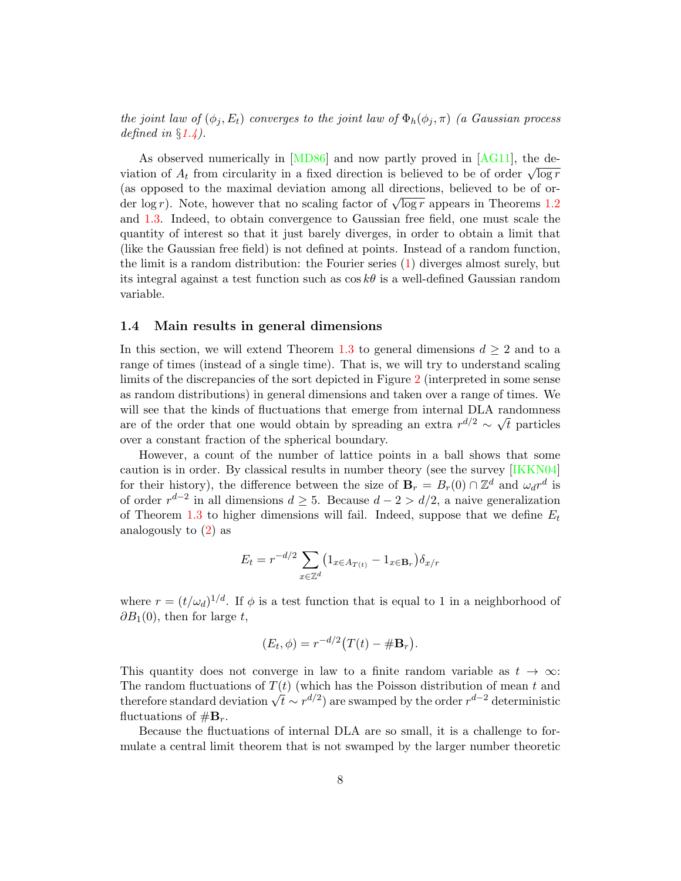the joint law of  $(\phi_i, E_t)$  converges to the joint law of  $\Phi_h(\phi_i, \pi)$  (a Gaussian process defined in  $\S 1.4$ ).

As observed numerically in [\[MD86\]](#page-39-0) and now partly proved in [\[AG11\]](#page-38-5), the de-As observed numericany in [WDo0] and now partly proved in [AG11], the de-<br>viation of  $A_t$  from circularity in a fixed direction is believed to be of order  $\sqrt{\log r}$ (as opposed to the maximal deviation among all directions, believed to be of or-(as opposed to the maximal deviation among an directions, beneved to be of order log r). Note, however that no scaling factor of  $\sqrt{\log r}$  appears in Theorems [1.2](#page-6-0) and [1.3.](#page-6-1) Indeed, to obtain convergence to Gaussian free field, one must scale the quantity of interest so that it just barely diverges, in order to obtain a limit that (like the Gaussian free field) is not defined at points. Instead of a random function, the limit is a random distribution: the Fourier series [\(1\)](#page-3-0) diverges almost surely, but its integral against a test function such as  $\cos k\theta$  is a well-defined Gaussian random variable.

#### <span id="page-7-0"></span>1.4 Main results in general dimensions

In this section, we will extend Theorem [1.3](#page-6-1) to general dimensions  $d \geq 2$  and to a range of times (instead of a single time). That is, we will try to understand scaling limits of the discrepancies of the sort depicted in Figure [2](#page-6-2) (interpreted in some sense as random distributions) in general dimensions and taken over a range of times. We will see that the kinds of fluctuations that emerge from internal DLA randomness are of the order that one would obtain by spreading an extra  $r^{d/2} \sim \sqrt{t}$  particles over a constant fraction of the spherical boundary.

However, a count of the number of lattice points in a ball shows that some caution is in order. By classical results in number theory (see the survey [\[IKKN04\]](#page-38-6) for their history), the difference between the size of  $\mathbf{B}_r = B_r(0) \cap \mathbb{Z}^d$  and  $\omega_d r^d$  is of order  $r^{d-2}$  in all dimensions  $d \geq 5$ . Because  $d-2 > d/2$ , a naive generalization of Theorem [1.3](#page-6-1) to higher dimensions will fail. Indeed, suppose that we define  $E_t$ analogously to  $(2)$  as

$$
E_t = r^{-d/2} \sum_{x \in \mathbb{Z}^d} \left( 1_{x \in A_{T(t)}} - 1_{x \in \mathbf{B}_r} \right) \delta_{x/r}
$$

where  $r = (t/\omega_d)^{1/d}$ . If  $\phi$  is a test function that is equal to 1 in a neighborhood of  $\partial B_1(0)$ , then for large t,

$$
(E_t, \phi) = r^{-d/2} \big( T(t) - \# \mathbf{B}_r \big).
$$

This quantity does not converge in law to a finite random variable as  $t \to \infty$ : The random fluctuations of  $T(t)$  (which has the Poisson distribution of mean t and The random nucleations of  $I(t)$  (which has the Poisson distribution of mean  $t$  and therefore standard deviation  $\sqrt{t} \sim r^{d/2}$ ) are swamped by the order  $r^{d-2}$  deterministic fluctuations of  $\#\mathbf{B}_r$ .

Because the fluctuations of internal DLA are so small, it is a challenge to formulate a central limit theorem that is not swamped by the larger number theoretic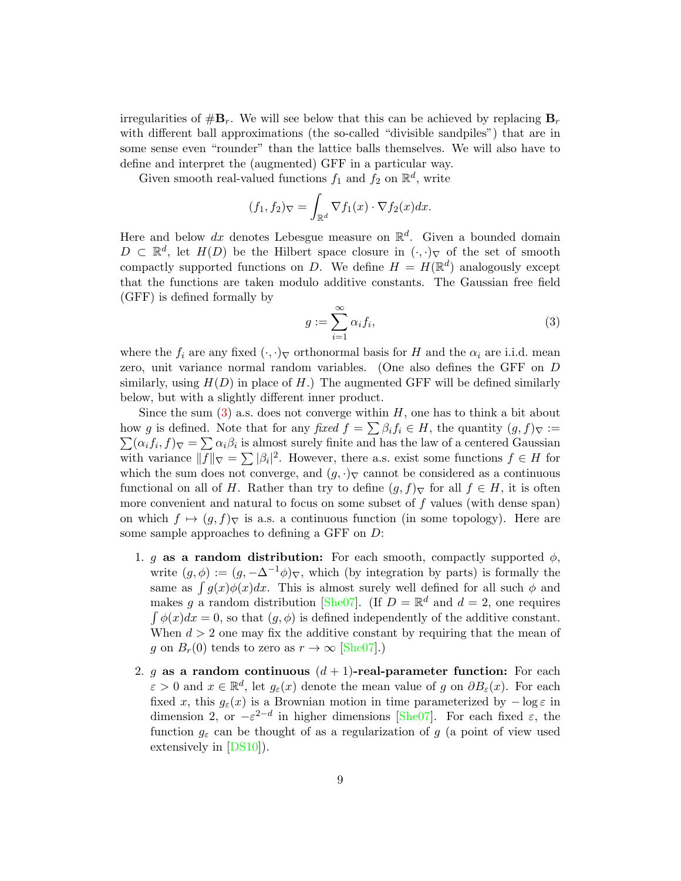irregularities of  $\#B_r$ . We will see below that this can be achieved by replacing  $B_r$ with different ball approximations (the so-called "divisible sandpiles") that are in some sense even "rounder" than the lattice balls themselves. We will also have to define and interpret the (augmented) GFF in a particular way.

Given smooth real-valued functions  $f_1$  and  $f_2$  on  $\mathbb{R}^d$ , write

$$
(f_1, f_2)_{\nabla} = \int_{\mathbb{R}^d} \nabla f_1(x) \cdot \nabla f_2(x) dx.
$$

Here and below dx denotes Lebesgue measure on  $\mathbb{R}^d$ . Given a bounded domain  $D \subset \mathbb{R}^d$ , let  $H(D)$  be the Hilbert space closure in  $(\cdot, \cdot)_{\nabla}$  of the set of smooth compactly supported functions on D. We define  $H = H(\mathbb{R}^d)$  analogously except that the functions are taken modulo additive constants. The Gaussian free field (GFF) is defined formally by

<span id="page-8-0"></span>
$$
g := \sum_{i=1}^{\infty} \alpha_i f_i,
$$
\n(3)

where the  $f_i$  are any fixed  $(\cdot, \cdot)$ <sub>V</sub> orthonormal basis for H and the  $\alpha_i$  are i.i.d. mean zero, unit variance normal random variables. (One also defines the GFF on D similarly, using  $H(D)$  in place of H.) The augmented GFF will be defined similarly below, but with a slightly different inner product.

Since the sum  $(3)$  a.s. does not converge within H, one has to think a bit about how g is defined. Note that for any fixed  $f = \sum \beta_i f_i \in H$ , the quantity  $(g, f)_{\nabla} :=$  $\sum (\alpha_i f_i, f)_{\nabla} = \sum \alpha_i \beta_i$  is almost surely finite and has the law of a centered Gaussian with variance  $||f||_{\nabla} = \sum |\beta_i|^2$ . However, there a.s. exist some functions  $f \in H$  for which the sum does not converge, and  $(g, \cdot)$ <sub>V</sub> cannot be considered as a continuous functional on all of H. Rather than try to define  $(g, f)$ <sub>V</sub> for all  $f \in H$ , it is often more convenient and natural to focus on some subset of  $f$  values (with dense span) on which  $f \mapsto (g, f)_{\nabla}$  is a.s. a continuous function (in some topology). Here are some sample approaches to defining a GFF on D:

- 1. g as a random distribution: For each smooth, compactly supported  $\phi$ , write  $(g, \phi) := (g, -\Delta^{-1}\phi)_{\nabla}$ , which (by integration by parts) is formally the same as  $\int g(x)\phi(x)dx$ . This is almost surely well defined for all such  $\phi$  and makes g a random distribution [\[She07\]](#page-39-7). (If  $D = \mathbb{R}^d$  and  $d = 2$ , one requires  $\int \phi(x)dx = 0$ , so that  $(g, \phi)$  is defined independently of the additive constant. When  $d > 2$  one may fix the additive constant by requiring that the mean of g on  $B_r(0)$  tends to zero as  $r \to \infty$  [\[She07\]](#page-39-7).)
- 2. g as a random continuous  $(d+1)$ -real-parameter function: For each  $\varepsilon > 0$  and  $x \in \mathbb{R}^d$ , let  $g_{\varepsilon}(x)$  denote the mean value of g on  $\partial B_{\varepsilon}(x)$ . For each fixed x, this  $g_{\varepsilon}(x)$  is a Brownian motion in time parameterized by  $-\log \varepsilon$  in dimension 2, or  $-\varepsilon^{2-d}$  in higher dimensions [\[She07\]](#page-39-7). For each fixed  $\varepsilon$ , the function  $g_{\varepsilon}$  can be thought of as a regularization of g (a point of view used extensively in [\[DS10\]](#page-38-7)).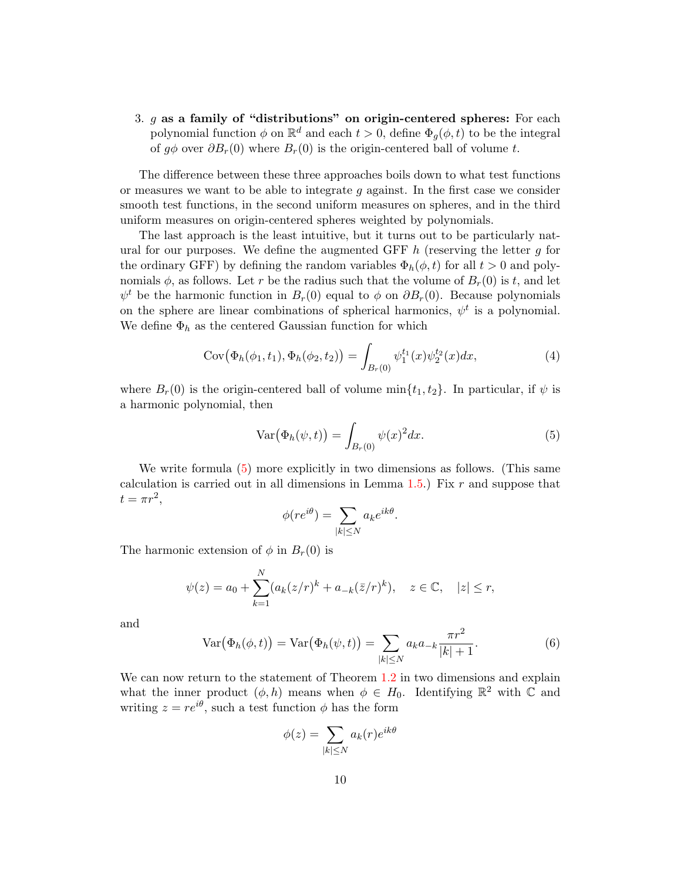3.  $g$  as a family of "distributions" on origin-centered spheres: For each polynomial function  $\phi$  on  $\mathbb{R}^d$  and each  $t > 0$ , define  $\Phi_g(\phi, t)$  to be the integral of  $q\phi$  over  $\partial B_r(0)$  where  $B_r(0)$  is the origin-centered ball of volume t.

The difference between these three approaches boils down to what test functions or measures we want to be able to integrate  $q$  against. In the first case we consider smooth test functions, in the second uniform measures on spheres, and in the third uniform measures on origin-centered spheres weighted by polynomials.

The last approach is the least intuitive, but it turns out to be particularly natural for our purposes. We define the augmented GFF  $h$  (reserving the letter  $g$  for the ordinary GFF) by defining the random variables  $\Phi_h(\phi, t)$  for all  $t > 0$  and polynomials  $\phi$ , as follows. Let r be the radius such that the volume of  $B_r(0)$  is t, and let  $\psi^t$  be the harmonic function in  $B_r(0)$  equal to  $\phi$  on  $\partial B_r(0)$ . Because polynomials on the sphere are linear combinations of spherical harmonics,  $\psi^t$  is a polynomial. We define  $\Phi_h$  as the centered Gaussian function for which

<span id="page-9-2"></span>
$$
Cov(\Phi_h(\phi_1, t_1), \Phi_h(\phi_2, t_2)) = \int_{B_r(0)} \psi_1^{t_1}(x) \psi_2^{t_2}(x) dx,
$$
\n(4)

where  $B_r(0)$  is the origin-centered ball of volume  $\min\{t_1, t_2\}$ . In particular, if  $\psi$  is a harmonic polynomial, then

<span id="page-9-0"></span>
$$
\operatorname{Var}\bigl(\Phi_h(\psi,t)\bigr) = \int_{B_r(0)} \psi(x)^2 dx. \tag{5}
$$

.

We write formula [\(5\)](#page-9-0) more explicitly in two dimensions as follows. (This same calculation is carried out in all dimensions in Lemma  $1.5$ . Fix r and suppose that  $t = \pi r^2$ ,

$$
\phi(re^{i\theta}) = \sum_{|k| \le N} a_k e^{ik\theta}
$$

The harmonic extension of  $\phi$  in  $B_r(0)$  is

$$
\psi(z) = a_0 + \sum_{k=1}^{N} (a_k (z/r)^k + a_{-k} (\bar{z}/r)^k), \quad z \in \mathbb{C}, \quad |z| \leq r,
$$

and

<span id="page-9-1"></span>
$$
Var(\Phi_h(\phi, t)) = Var(\Phi_h(\psi, t)) = \sum_{|k| \le N} a_k a_{-k} \frac{\pi r^2}{|k| + 1}.
$$
 (6)

We can now return to the statement of Theorem [1.2](#page-6-0) in two dimensions and explain what the inner product  $(\phi, h)$  means when  $\phi \in H_0$ . Identifying  $\mathbb{R}^2$  with  $\mathbb C$  and writing  $z = re^{i\theta}$ , such a test function  $\phi$  has the form

$$
\phi(z) = \sum_{|k| \le N} a_k(r) e^{ik\theta}
$$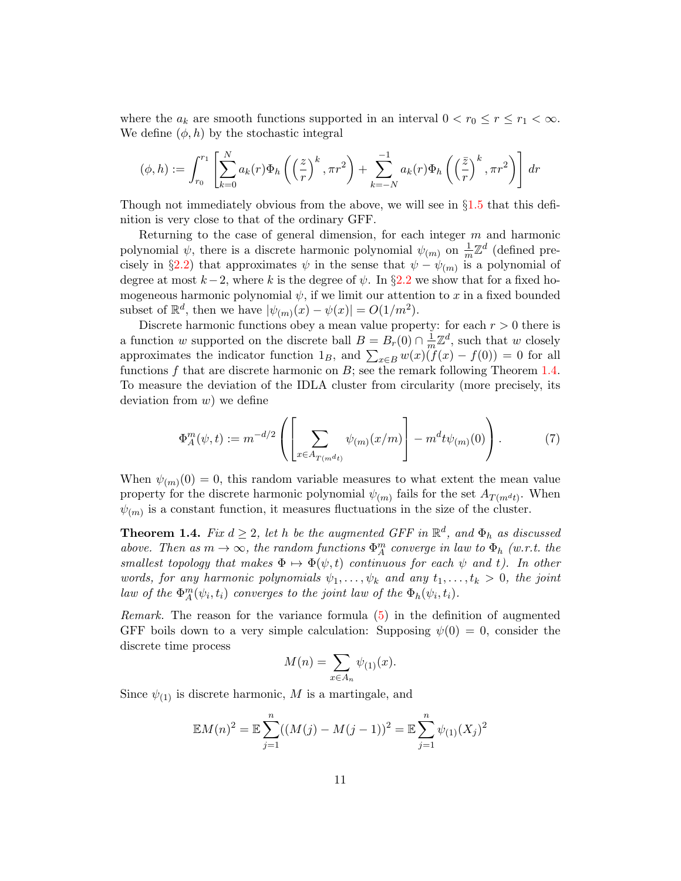where the  $a_k$  are smooth functions supported in an interval  $0 < r_0 \le r \le r_1 < \infty$ . We define  $(\phi, h)$  by the stochastic integral

$$
(\phi, h) := \int_{r_0}^{r_1} \left[ \sum_{k=0}^N a_k(r) \Phi_h \left( \left( \frac{z}{r} \right)^k, \pi r^2 \right) + \sum_{k=-N}^{-1} a_k(r) \Phi_h \left( \left( \frac{\bar{z}}{r} \right)^k, \pi r^2 \right) \right] dr
$$

Though not immediately obvious from the above, we will see in  $\S1.5$  $\S1.5$  that this definition is very close to that of the ordinary GFF.

Returning to the case of general dimension, for each integer m and harmonic polynomial  $\psi$ , there is a discrete harmonic polynomial  $\psi_{(m)}$  on  $\frac{1}{m}\mathbb{Z}^d$  (defined pre-cisely in §[2.2\)](#page-16-2) that approximates  $\psi$  in the sense that  $\psi - \psi_{(m)}$  is a polynomial of degree at most  $k-2$ , where k is the degree of  $\psi$ . In §[2.2](#page-16-2) we show that for a fixed homogeneous harmonic polynomial  $\psi$ , if we limit our attention to x in a fixed bounded subset of  $\mathbb{R}^d$ , then we have  $|\psi_{(m)}(x) - \psi(x)| = O(1/m^2)$ .

Discrete harmonic functions obey a mean value property: for each  $r > 0$  there is a function w supported on the discrete ball  $B = B<sub>r</sub>(0) \cap \frac{1}{m}$  $\frac{1}{m}\mathbb{Z}^d$ , such that w closely approximates the indicator function  $1_B$ , and  $\sum_{x \in B} w(x)(f(x) - f(0)) = 0$  for all functions  $f$  that are discrete harmonic on  $B$ ; see the remark following Theorem [1.4.](#page-10-0) To measure the deviation of the IDLA cluster from circularity (more precisely, its deviation from  $w$ ) we define

$$
\Phi_A^m(\psi, t) := m^{-d/2} \left( \left[ \sum_{x \in A_{T(m^{d_t})}} \psi_{(m)}(x/m) \right] - m^d t \psi_{(m)}(0) \right). \tag{7}
$$

When  $\psi_{(m)}(0) = 0$ , this random variable measures to what extent the mean value property for the discrete harmonic polynomial  $\psi_{(m)}$  fails for the set  $A_{T(m^dt)}$ . When  $\psi_{(m)}$  is a constant function, it measures fluctuations in the size of the cluster.

<span id="page-10-0"></span>**Theorem 1.4.** Fix  $d \geq 2$ , let h be the augmented GFF in  $\mathbb{R}^d$ , and  $\Phi_h$  as discussed above. Then as  $m \to \infty$ , the random functions  $\Phi_A^m$  converge in law to  $\Phi_h$  (w.r.t. the smallest topology that makes  $\Phi \mapsto \Phi(\psi, t)$  continuous for each  $\psi$  and t). In other words, for any harmonic polynomials  $\psi_1, \ldots, \psi_k$  and any  $t_1, \ldots, t_k > 0$ , the joint law of the  $\Phi_{A}^{m}(\psi_{i}, t_{i})$  converges to the joint law of the  $\Phi_{h}(\psi_{i}, t_{i})$ .

Remark. The reason for the variance formula [\(5\)](#page-9-0) in the definition of augmented GFF boils down to a very simple calculation: Supposing  $\psi(0) = 0$ , consider the discrete time process

<span id="page-10-1"></span>
$$
M(n) = \sum_{x \in A_n} \psi_{(1)}(x).
$$

Since  $\psi_{(1)}$  is discrete harmonic, M is a martingale, and

$$
\mathbb{E}M(n)^{2} = \mathbb{E}\sum_{j=1}^{n}((M(j) - M(j-1))^{2}) = \mathbb{E}\sum_{j=1}^{n}\psi_{(1)}(X_{j})^{2}
$$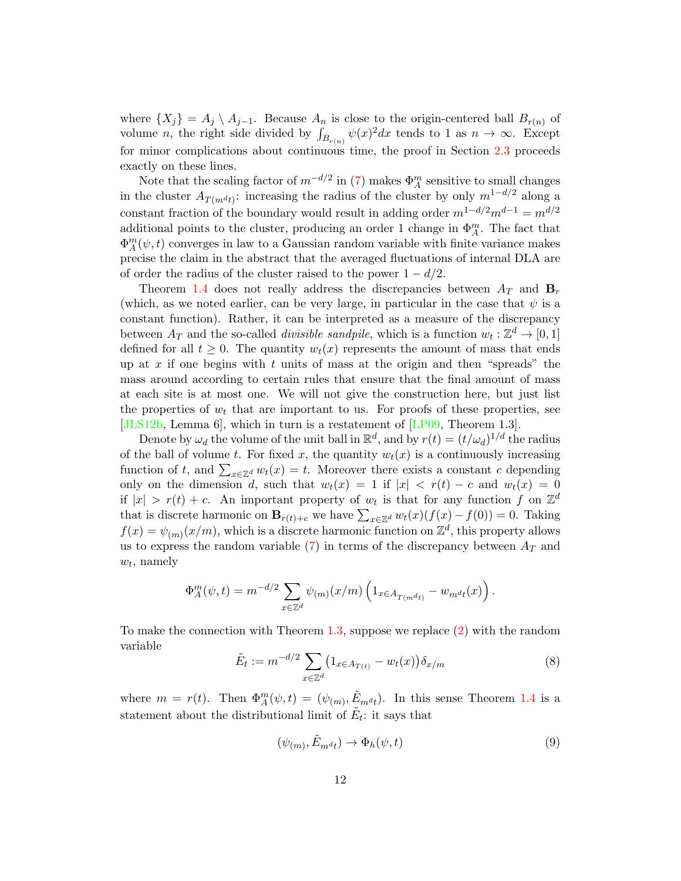where  $\{X_j\} = A_j \setminus A_{j-1}$ . Because  $A_n$  is close to the origin-centered ball  $B_{r(n)}$  of volume *n*, the right side divided by  $\int_{B_{r(n)}} \psi(x)^2 dx$  tends to 1 as  $n \to \infty$ . Except for minor complications about continuous time, the proof in Section [2.3](#page-18-0) proceeds exactly on these lines.

Note that the scaling factor of  $m^{-d/2}$  in [\(7\)](#page-10-1) makes  $\Phi_A^m$  sensitive to small changes in the cluster  $A_{T(m^dt)}$ : increasing the radius of the cluster by only  $m^{1-d/2}$  along a constant fraction of the boundary would result in adding order  $m^{1-d/2}m^{d-1}=m^{d/2}$ additional points to the cluster, producing an order 1 change in  $\Phi_A^m$ . The fact that  $\Phi_A^m(\psi, t)$  converges in law to a Gaussian random variable with finite variance makes precise the claim in the abstract that the averaged fluctuations of internal DLA are of order the radius of the cluster raised to the power  $1 - d/2$ .

Theorem [1.4](#page-10-0) does not really address the discrepancies between  $A_T$  and  $B_T$ (which, as we noted earlier, can be very large, in particular in the case that  $\psi$  is a constant function). Rather, it can be interpreted as a measure of the discrepancy between  $A_T$  and the so-called *divisible sandpile*, which is a function  $w_t : \mathbb{Z}^d \to [0,1]$ defined for all  $t \geq 0$ . The quantity  $w_t(x)$  represents the amount of mass that ends up at x if one begins with t units of mass at the origin and then "spreads" the mass around according to certain rules that ensure that the final amount of mass at each site is at most one. We will not give the construction here, but just list the properties of  $w_t$  that are important to us. For proofs of these properties, see [\[JLS12b,](#page-39-4) Lemma 6], which in turn is a restatement of [\[LP09,](#page-39-8) Theorem 1.3].

Denote by  $\omega_d$  the volume of the unit ball in  $\mathbb{R}^d$ , and by  $r(t) = (t/\omega_d)^{1/d}$  the radius of the ball of volume t. For fixed x, the quantity  $w_t(x)$  is a continuously increasing function of t, and  $\sum_{x \in \mathbb{Z}^d} w_t(x) = t$ . Moreover there exists a constant c depending only on the dimension d, such that  $w_t(x) = 1$  if  $|x| < r(t) - c$  and  $w_t(x) = 0$ if  $|x| > r(t) + c$ . An important property of  $w_t$  is that for any function f on  $\mathbb{Z}^d$ that is discrete harmonic on  $\mathbf{B}_{r(t)+c}$  we have  $\sum_{x \in \mathbb{Z}^d} w_t(x)(f(x) - f(0)) = 0$ . Taking  $f(x) = \psi_{(m)}(x/m)$ , which is a discrete harmonic function on  $\mathbb{Z}^d$ , this property allows us to express the random variable  $(7)$  in terms of the discrepancy between  $A_T$  and  $w_t$ , namely

$$
\Phi_A^m(\psi, t) = m^{-d/2} \sum_{x \in \mathbb{Z}^d} \psi_{(m)}(x/m) \left( 1_{x \in A_{T(m^dt)}} - w_{m^dt}(x) \right).
$$

To make the connection with Theorem [1.3,](#page-6-1) suppose we replace [\(2\)](#page-6-3) with the random variable

<span id="page-11-1"></span>
$$
\tilde{E}_t := m^{-d/2} \sum_{x \in \mathbb{Z}^d} \left( 1_{x \in A_{T(t)}} - w_t(x) \right) \delta_{x/m} \tag{8}
$$

where  $m = r(t)$ . Then  $\Phi_A^m(\psi, t) = (\psi_{(m)}, \tilde{E}_{m^d t})$ . In this sense Theorem [1.4](#page-10-0) is a statement about the distributional limit of  $\tilde{E}_t$ : it says that

<span id="page-11-0"></span>
$$
(\psi_{(m)}, \tilde{E}_{m^d t}) \to \Phi_h(\psi, t)
$$
\n<sup>(9)</sup>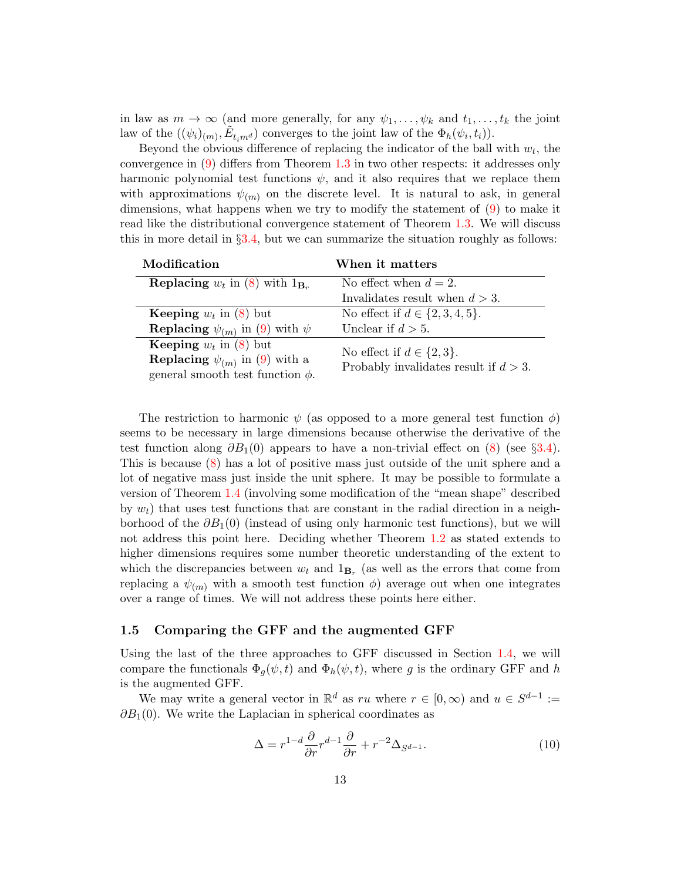in law as  $m \to \infty$  (and more generally, for any  $\psi_1, \ldots, \psi_k$  and  $t_1, \ldots, t_k$  the joint law of the  $((\psi_i)_{(m)}, \tilde{E}_{t_i m^d})$  converges to the joint law of the  $\Phi_h(\psi_i, t_i)$ .

Beyond the obvious difference of replacing the indicator of the ball with  $w_t$ , the convergence in [\(9\)](#page-11-0) differs from Theorem [1.3](#page-6-1) in two other respects: it addresses only harmonic polynomial test functions  $\psi$ , and it also requires that we replace them with approximations  $\psi_{(m)}$  on the discrete level. It is natural to ask, in general dimensions, what happens when we try to modify the statement of [\(9\)](#page-11-0) to make it read like the distributional convergence statement of Theorem [1.3.](#page-6-1) We will discuss this in more detail in  $\S 3.4$ , but we can summarize the situation roughly as follows:

| Modification                                          | When it matters                                                           |
|-------------------------------------------------------|---------------------------------------------------------------------------|
| <b>Replacing</b> $w_t$ in (8) with $1_{\mathbf{B}_r}$ | No effect when $d=2$ .                                                    |
|                                                       | Invalidates result when $d > 3$ .                                         |
| <b>Keeping</b> $w_t$ in (8) but                       | No effect if $d \in \{2, 3, 4, 5\}.$                                      |
| <b>Replacing</b> $\psi_{(m)}$ in (9) with $\psi$      | Unclear if $d > 5$ .                                                      |
| <b>Keeping</b> $w_t$ in (8) but                       | No effect if $d \in \{2,3\}.$<br>Probably invalidates result if $d > 3$ . |
| <b>Replacing</b> $\psi_{(m)}$ in (9) with a           |                                                                           |
| general smooth test function $\phi$ .                 |                                                                           |

The restriction to harmonic  $\psi$  (as opposed to a more general test function  $\phi$ ) seems to be necessary in large dimensions because otherwise the derivative of the test function along  $\partial B_1(0)$  appears to have a non-trivial effect on  $(8)$  (see §[3.4\)](#page-37-0). This is because [\(8\)](#page-11-1) has a lot of positive mass just outside of the unit sphere and a lot of negative mass just inside the unit sphere. It may be possible to formulate a version of Theorem [1.4](#page-10-0) (involving some modification of the "mean shape" described by  $w_t$ ) that uses test functions that are constant in the radial direction in a neighborhood of the  $\partial B_1(0)$  (instead of using only harmonic test functions), but we will not address this point here. Deciding whether Theorem [1.2](#page-6-0) as stated extends to higher dimensions requires some number theoretic understanding of the extent to which the discrepancies between  $w_t$  and  $1_{\mathbf{B}_r}$  (as well as the errors that come from replacing a  $\psi_{(m)}$  with a smooth test function  $\phi$ ) average out when one integrates over a range of times. We will not address these points here either.

#### <span id="page-12-0"></span>1.5 Comparing the GFF and the augmented GFF

Using the last of the three approaches to GFF discussed in Section [1.4,](#page-8-0) we will compare the functionals  $\Phi_q(\psi, t)$  and  $\Phi_h(\psi, t)$ , where g is the ordinary GFF and h is the augmented GFF.

We may write a general vector in  $\mathbb{R}^d$  as ru where  $r \in [0, \infty)$  and  $u \in S^{d-1}$  :=  $\partial B_1(0)$ . We write the Laplacian in spherical coordinates as

<span id="page-12-1"></span>
$$
\Delta = r^{1-d} \frac{\partial}{\partial r} r^{d-1} \frac{\partial}{\partial r} + r^{-2} \Delta_{S^{d-1}}.
$$
\n(10)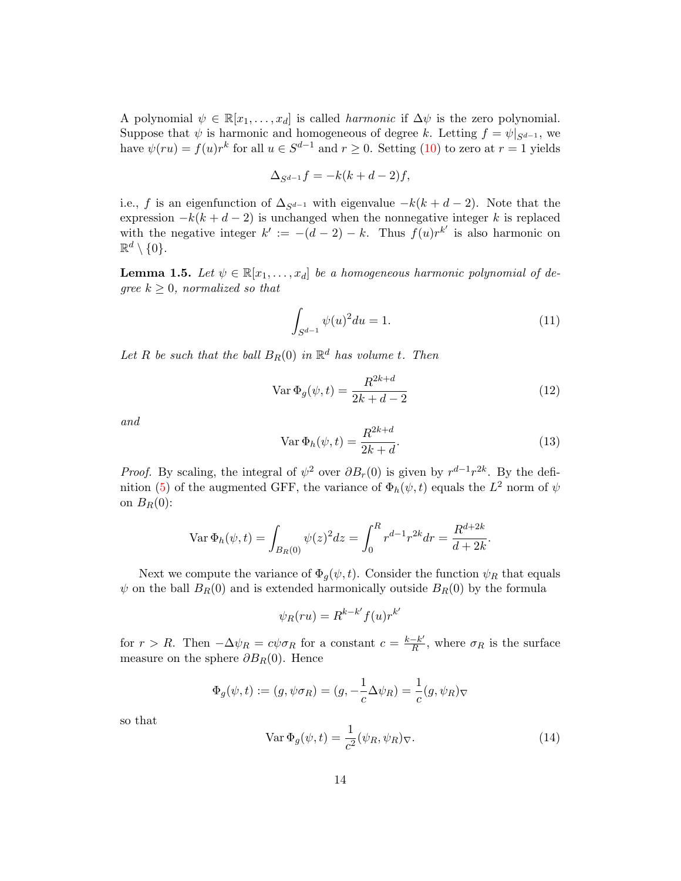A polynomial  $\psi \in \mathbb{R}[x_1,\ldots,x_d]$  is called *harmonic* if  $\Delta \psi$  is the zero polynomial. Suppose that  $\psi$  is harmonic and homogeneous of degree k. Letting  $f = \psi|_{S^{d-1}}$ , we have  $\psi(ru) = f(u)r^k$  for all  $u \in S^{d-1}$  and  $r \geq 0$ . Setting [\(10\)](#page-12-1) to zero at  $r = 1$  yields

$$
\Delta_{S^{d-1}}f = -k(k+d-2)f,
$$

i.e., f is an eigenfunction of  $\Delta_{S^{d-1}}$  with eigenvalue  $-k(k+d-2)$ . Note that the expression  $-k(k+d-2)$  is unchanged when the nonnegative integer k is replaced with the negative integer  $k' := -(d-2) - k$ . Thus  $f(u)r^{k'}$  is also harmonic on  $\mathbb{R}^d \setminus \{0\}.$ 

<span id="page-13-0"></span>**Lemma 1.5.** Let  $\psi \in \mathbb{R}[x_1, \ldots, x_d]$  be a homogeneous harmonic polynomial of degree  $k \geq 0$ , normalized so that

<span id="page-13-3"></span>
$$
\int_{S^{d-1}} \psi(u)^2 du = 1.
$$
\n(11)

Let R be such that the ball  $B_R(0)$  in  $\mathbb{R}^d$  has volume t. Then

$$
\text{Var}\,\Phi_g(\psi, t) = \frac{R^{2k+d}}{2k+d-2} \tag{12}
$$

and

<span id="page-13-2"></span>
$$
\operatorname{Var} \Phi_h(\psi, t) = \frac{R^{2k+d}}{2k+d}.\tag{13}
$$

*Proof.* By scaling, the integral of  $\psi^2$  over  $\partial B_r(0)$  is given by  $r^{d-1}r^{2k}$ . By the defi-nition [\(5\)](#page-9-0) of the augmented GFF, the variance of  $\Phi_h(\psi, t)$  equals the  $L^2$  norm of  $\psi$ on  $B_R(0)$ :

$$
\operatorname{Var} \Phi_h(\psi, t) = \int_{B_R(0)} \psi(z)^2 dz = \int_0^R r^{d-1} r^{2k} dr = \frac{R^{d+2k}}{d+2k}.
$$

Next we compute the variance of  $\Phi_q(\psi, t)$ . Consider the function  $\psi_R$  that equals  $\psi$  on the ball  $B_R(0)$  and is extended harmonically outside  $B_R(0)$  by the formula

$$
\psi_R(ru) = R^{k-k'} f(u) r^{k'}
$$

for  $r > R$ . Then  $-\Delta \psi_R = c \psi \sigma_R$  for a constant  $c = \frac{k-k'}{R}$  $\frac{-k'}{R}$ , where  $\sigma_R$  is the surface measure on the sphere  $\partial B_R(0)$ . Hence

$$
\Phi_g(\psi, t) := (g, \psi \sigma_R) = (g, -\frac{1}{c}\Delta \psi_R) = \frac{1}{c}(g, \psi_R)_{\nabla}
$$

so that

<span id="page-13-1"></span>
$$
\text{Var}\,\Phi_g(\psi, t) = \frac{1}{c^2} (\psi_R, \psi_R)_{\nabla}.\tag{14}
$$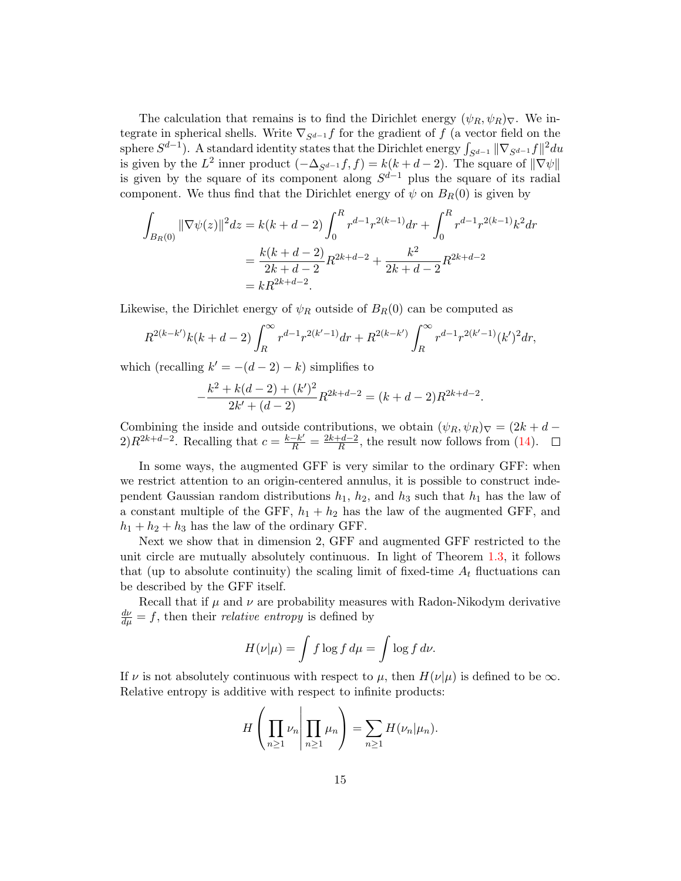The calculation that remains is to find the Dirichlet energy  $(\psi_R, \psi_R)_{\nabla}$ . We integrate in spherical shells. Write  $\nabla_{S^{d-1}} f$  for the gradient of f (a vector field on the sphere  $S^{d-1}$ ). A standard identity states that the Dirichlet energy  $\int_{S^{d-1}} ||\nabla_{S^{d-1}} f||^2 du$ is given by the  $L^2$  inner product  $(-\Delta_{S^{d-1}}f, f) = k(k+d-2)$ . The square of  $\|\nabla \psi\|$ is given by the square of its component along  $S^{d-1}$  plus the square of its radial component. We thus find that the Dirichlet energy of  $\psi$  on  $B_R(0)$  is given by

$$
\int_{B_R(0)} \|\nabla \psi(z)\|^2 dz = k(k+d-2) \int_0^R r^{d-1} r^{2(k-1)} dr + \int_0^R r^{d-1} r^{2(k-1)} k^2 dr
$$

$$
= \frac{k(k+d-2)}{2k+d-2} R^{2k+d-2} + \frac{k^2}{2k+d-2} R^{2k+d-2}
$$

$$
= kR^{2k+d-2}.
$$

Likewise, the Dirichlet energy of  $\psi_R$  outside of  $B_R(0)$  can be computed as

$$
R^{2(k-k')}k(k+d-2)\int_R^{\infty}r^{d-1}r^{2(k'-1)}dr + R^{2(k-k')}\int_R^{\infty}r^{d-1}r^{2(k'-1)}(k')^2dr,
$$

which (recalling  $k' = -(d-2) - k$ ) simplifies to

$$
-\frac{k^2 + k(d-2) + (k')^2}{2k' + (d-2)}R^{2k+d-2} = (k+d-2)R^{2k+d-2}.
$$

Combining the inside and outside contributions, we obtain  $(\psi_R, \psi_R)_{\nabla} = (2k + d (2)R^{2k+d-2}$ . Recalling that  $c = \frac{k-k'}{R} = \frac{2k+d-2}{R}$  $\frac{d+d-2}{R}$ , the result now follows from [\(14\)](#page-13-1).

In some ways, the augmented GFF is very similar to the ordinary GFF: when we restrict attention to an origin-centered annulus, it is possible to construct independent Gaussian random distributions  $h_1$ ,  $h_2$ , and  $h_3$  such that  $h_1$  has the law of a constant multiple of the GFF,  $h_1 + h_2$  has the law of the augmented GFF, and  $h_1 + h_2 + h_3$  has the law of the ordinary GFF.

Next we show that in dimension 2, GFF and augmented GFF restricted to the unit circle are mutually absolutely continuous. In light of Theorem [1.3,](#page-6-1) it follows that (up to absolute continuity) the scaling limit of fixed-time  $A_t$  fluctuations can be described by the GFF itself.

Recall that if  $\mu$  and  $\nu$  are probability measures with Radon-Nikodym derivative  $\frac{d\nu}{d\mu} = f$ , then their *relative entropy* is defined by

$$
H(\nu|\mu) = \int f \log f \, d\mu = \int \log f \, d\nu.
$$

If  $\nu$  is not absolutely continuous with respect to  $\mu$ , then  $H(\nu|\mu)$  is defined to be  $\infty$ . Relative entropy is additive with respect to infinite products:

$$
H\left(\prod_{n\geq 1}\nu_n\middle|\prod_{n\geq 1}\mu_n\right)=\sum_{n\geq 1}H(\nu_n|\mu_n).
$$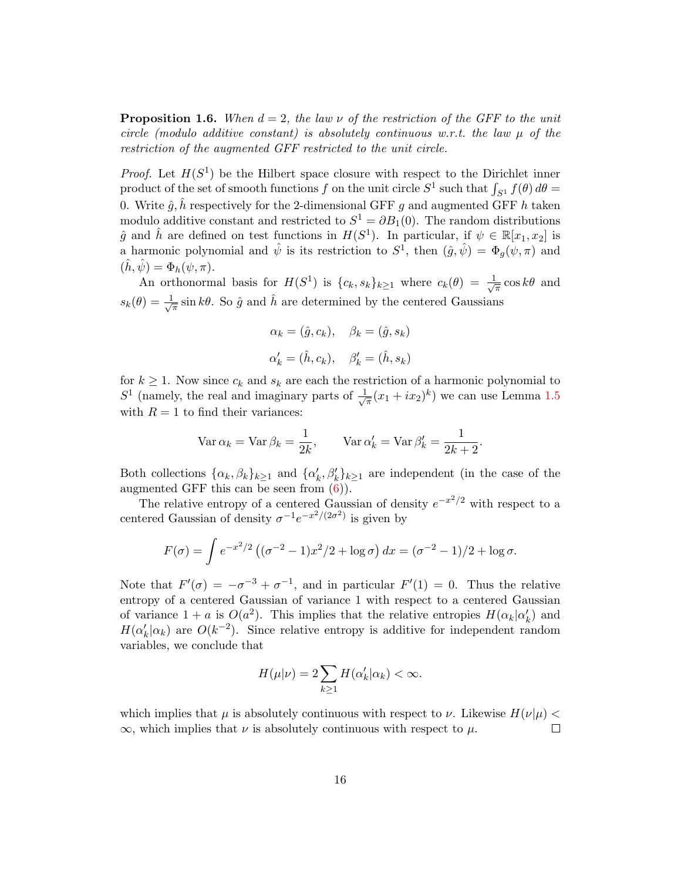**Proposition 1.6.** When  $d = 2$ , the law  $\nu$  of the restriction of the GFF to the unit circle (modulo additive constant) is absolutely continuous w.r.t. the law  $\mu$  of the restriction of the augmented GFF restricted to the unit circle.

*Proof.* Let  $H(S^1)$  be the Hilbert space closure with respect to the Dirichlet inner product of the set of smooth functions f on the unit circle  $S^1$  such that  $\int_{S^1} f(\theta) d\theta =$ 0. Write  $\hat{g}, \hat{h}$  respectively for the 2-dimensional GFF g and augmented GFF h taken modulo additive constant and restricted to  $S^1 = \partial B_1(0)$ . The random distributions  $\hat{g}$  and  $\hat{h}$  are defined on test functions in  $H(S^1)$ . In particular, if  $\psi \in \mathbb{R}[x_1, x_2]$  is a harmonic polynomial and  $\hat{\psi}$  is its restriction to  $S^1$ , then  $(\hat{g}, \hat{\psi}) = \Phi_g(\psi, \pi)$  and  $(\hat{h}, \hat{\psi}) = \Phi_h(\psi, \pi).$ 

An orthonormal basis for  $H(S^1)$  is  $\{c_k, s_k\}_{k\geq 1}$  where  $c_k(\theta) = \frac{1}{\sqrt{\theta}}$  $\frac{1}{\pi} \cos k\theta$  and  $s_k(\theta) = \frac{1}{\sqrt{\beta}}$  $\frac{1}{\pi}$  sin k $\theta$ . So  $\hat{g}$  and  $\hat{h}$  are determined by the centered Gaussians

$$
\alpha_k = (\hat{g}, c_k), \quad \beta_k = (\hat{g}, s_k)
$$

$$
\alpha'_k = (\hat{h}, c_k), \quad \beta'_k = (\hat{h}, s_k)
$$

for  $k \geq 1$ . Now since  $c_k$  and  $s_k$  are each the restriction of a harmonic polynomial to  $S<sup>1</sup>$  (namely, the real and imaginary parts of  $\frac{1}{\sqrt{2}}$  $\frac{1}{\pi}(x_1+ix_2)^k$ ) we can use Lemma [1.5](#page-13-0) with  $R = 1$  to find their variances:

$$
\text{Var}\,\alpha_k = \text{Var}\,\beta_k = \frac{1}{2k}, \qquad \text{Var}\,\alpha'_k = \text{Var}\,\beta'_k = \frac{1}{2k+2}
$$

.

Both collections  $\{\alpha_k, \beta_k\}_{k\geq 1}$  and  $\{\alpha'_k, \beta'_k\}_{k\geq 1}$  are independent (in the case of the augmented GFF this can be seen from  $(6)$ ).

The relative entropy of a centered Gaussian of density  $e^{-x^2/2}$  with respect to a centered Gaussian of density  $\sigma^{-1}e^{-x^2/(2\sigma^2)}$  is given by

$$
F(\sigma) = \int e^{-x^2/2} \left( (\sigma^{-2} - 1)x^2/2 + \log \sigma \right) dx = (\sigma^{-2} - 1)/2 + \log \sigma.
$$

Note that  $F'(\sigma) = -\sigma^{-3} + \sigma^{-1}$ , and in particular  $F'(1) = 0$ . Thus the relative entropy of a centered Gaussian of variance 1 with respect to a centered Gaussian of variance  $1 + a$  is  $O(a^2)$ . This implies that the relative entropies  $H(\alpha_k|\alpha'_k)$  and  $H(\alpha'_k|\alpha_k)$  are  $O(k^{-2})$ . Since relative entropy is additive for independent random variables, we conclude that

$$
H(\mu|\nu) = 2\sum_{k\geq 1} H(\alpha'_k|\alpha_k) < \infty.
$$

which implies that  $\mu$  is absolutely continuous with respect to  $\nu$ . Likewise  $H(\nu|\mu)$  <  $\infty$ , which implies that  $\nu$  is absolutely continuous with respect to  $\mu$ .  $\Box$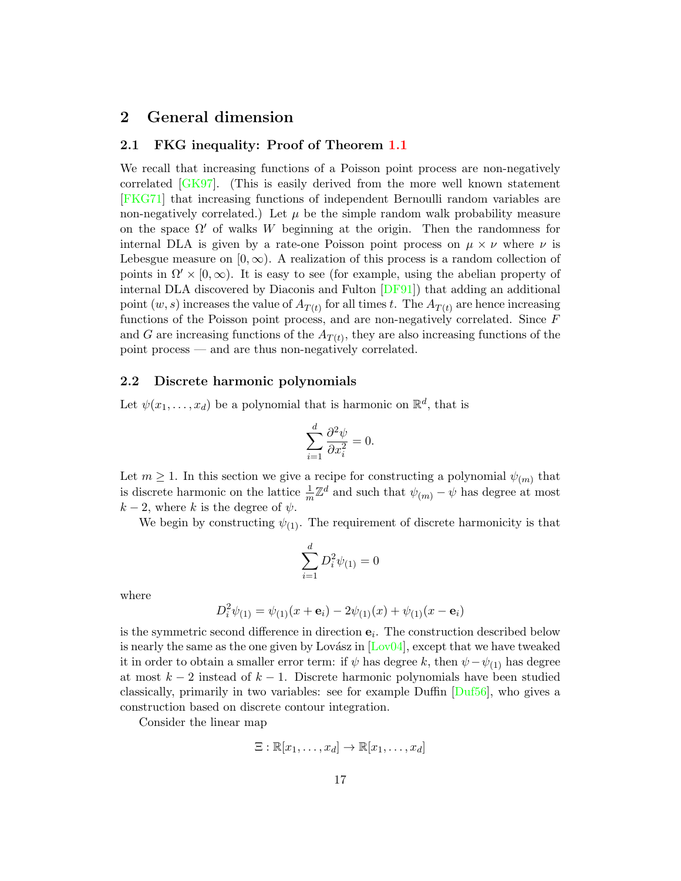## <span id="page-16-0"></span>2 General dimension

#### <span id="page-16-1"></span>2.1 FKG inequality: Proof of Theorem [1.1](#page-4-2)

We recall that increasing functions of a Poisson point process are non-negatively correlated [\[GK97\]](#page-38-8). (This is easily derived from the more well known statement [\[FKG71\]](#page-38-9) that increasing functions of independent Bernoulli random variables are non-negatively correlated.) Let  $\mu$  be the simple random walk probability measure on the space  $\Omega'$  of walks W beginning at the origin. Then the randomness for internal DLA is given by a rate-one Poisson point process on  $\mu \times \nu$  where  $\nu$  is Lebesgue measure on  $[0, \infty)$ . A realization of this process is a random collection of points in  $\Omega' \times [0, \infty)$ . It is easy to see (for example, using the abelian property of internal DLA discovered by Diaconis and Fulton [\[DF91\]](#page-38-0)) that adding an additional point  $(w, s)$  increases the value of  $A_{T(t)}$  for all times t. The  $A_{T(t)}$  are hence increasing functions of the Poisson point process, and are non-negatively correlated. Since F and G are increasing functions of the  $A_{T(t)}$ , they are also increasing functions of the point process — and are thus non-negatively correlated.

#### <span id="page-16-2"></span>2.2 Discrete harmonic polynomials

Let  $\psi(x_1, \ldots, x_d)$  be a polynomial that is harmonic on  $\mathbb{R}^d$ , that is

$$
\sum_{i=1}^{d} \frac{\partial^2 \psi}{\partial x_i^2} = 0.
$$

Let  $m \geq 1$ . In this section we give a recipe for constructing a polynomial  $\psi_{(m)}$  that is discrete harmonic on the lattice  $\frac{1}{m}\mathbb{Z}^d$  and such that  $\psi_{(m)} - \psi$  has degree at most  $k-2$ , where k is the degree of  $\psi$ .

We begin by constructing  $\psi_{(1)}$ . The requirement of discrete harmonicity is that

$$
\sum_{i=1}^d D_i^2 \psi_{(1)} = 0
$$

where

$$
D_i^2 \psi_{(1)} = \psi_{(1)}(x + \mathbf{e}_i) - 2\psi_{(1)}(x) + \psi_{(1)}(x - \mathbf{e}_i)
$$

is the symmetric second difference in direction  $e_i$ . The construction described below is nearly the same as the one given by Lovász in  $\left[$ Lov $\frac{04}{4}$ , except that we have tweaked it in order to obtain a smaller error term: if  $\psi$  has degree k, then  $\psi - \psi_{(1)}$  has degree at most  $k-2$  instead of  $k-1$ . Discrete harmonic polynomials have been studied classically, primarily in two variables: see for example Duffin [\[Duf56\]](#page-38-10), who gives a construction based on discrete contour integration.

Consider the linear map

$$
\Xi: \mathbb{R}[x_1,\ldots,x_d] \to \mathbb{R}[x_1,\ldots,x_d]
$$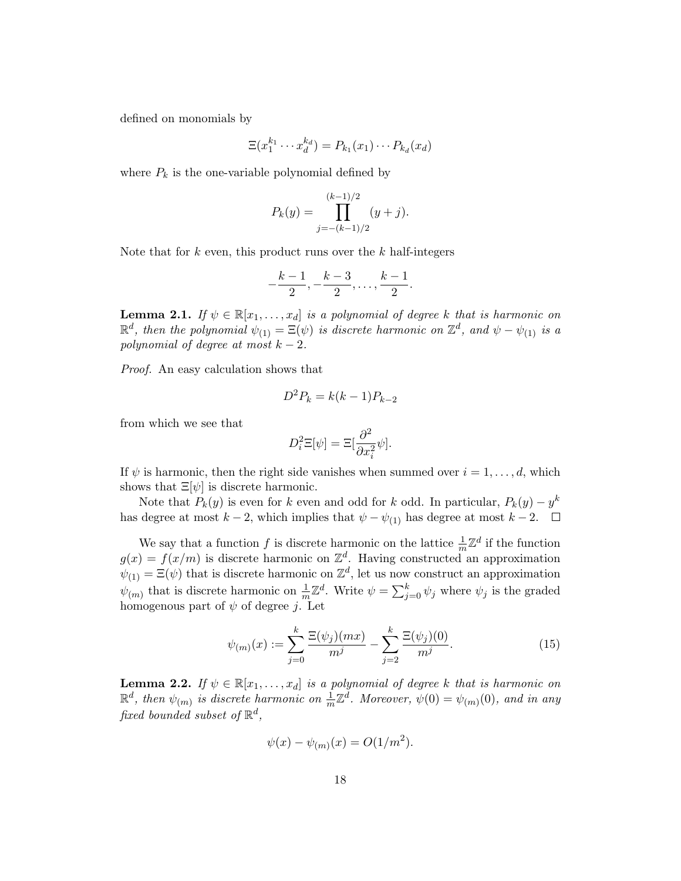defined on monomials by

$$
\Xi(x_1^{k_1}\cdots x_d^{k_d})=P_{k_1}(x_1)\cdots P_{k_d}(x_d)
$$

where  $P_k$  is the one-variable polynomial defined by

$$
P_k(y) = \prod_{j=-(k-1)/2}^{(k-1)/2} (y+j).
$$

Note that for  $k$  even, this product runs over the  $k$  half-integers

$$
-\frac{k-1}{2}, -\frac{k-3}{2}, \ldots, \frac{k-1}{2}.
$$

<span id="page-17-0"></span>**Lemma 2.1.** If  $\psi \in \mathbb{R}[x_1, \ldots, x_d]$  is a polynomial of degree k that is harmonic on  $\mathbb{R}^d$ , then the polynomial  $\psi_{(1)} = \Xi(\psi)$  is discrete harmonic on  $\mathbb{Z}^d$ , and  $\psi - \psi_{(1)}$  is a polynomial of degree at most  $k - 2$ .

Proof. An easy calculation shows that

$$
D^2 P_k = k(k-1)P_{k-2}
$$

from which we see that

$$
D_i^2 \Xi[\psi] = \Xi[\frac{\partial^2}{\partial x_i^2} \psi].
$$

If  $\psi$  is harmonic, then the right side vanishes when summed over  $i = 1, \ldots, d$ , which shows that  $\Xi[\psi]$  is discrete harmonic.

Note that  $P_k(y)$  is even for k even and odd for k odd. In particular,  $P_k(y) - y^k$ has degree at most  $k - 2$ , which implies that  $\psi - \psi_{(1)}$  has degree at most  $k - 2$ .  $\Box$ 

We say that a function f is discrete harmonic on the lattice  $\frac{1}{m}\mathbb{Z}^d$  if the function  $g(x) = f(x/m)$  is discrete harmonic on  $\mathbb{Z}^d$ . Having constructed an approximation  $\psi_{(1)} = \Xi(\psi)$  that is discrete harmonic on  $\mathbb{Z}^d$ , let us now construct an approximation  $\psi_{(m)}$  that is discrete harmonic on  $\frac{1}{m}\mathbb{Z}^d$ . Write  $\psi = \sum_{j=0}^k \psi_j$  where  $\psi_j$  is the graded homogenous part of  $\psi$  of degree j. Let

<span id="page-17-1"></span>
$$
\psi_{(m)}(x) := \sum_{j=0}^{k} \frac{\Xi(\psi_j)(mx)}{m^j} - \sum_{j=2}^{k} \frac{\Xi(\psi_j)(0)}{m^j}.
$$
\n(15)

**Lemma 2.2.** If  $\psi \in \mathbb{R}[x_1, \ldots, x_d]$  is a polynomial of degree k that is harmonic on  $\mathbb{R}^d$ , then  $\psi_{(m)}$  is discrete harmonic on  $\frac{1}{m}\mathbb{Z}^d$ . Moreover,  $\psi(0) = \psi_{(m)}(0)$ , and in any fixed bounded subset of  $\mathbb{R}^d$ ,

$$
\psi(x) - \psi_{(m)}(x) = O(1/m^2).
$$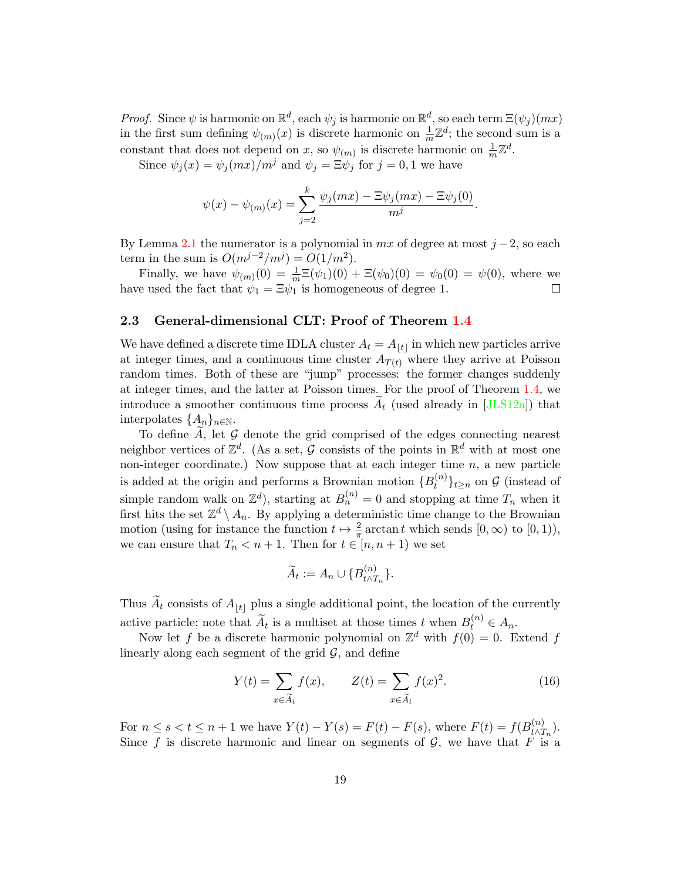*Proof.* Since  $\psi$  is harmonic on  $\mathbb{R}^d$ , each  $\psi_j$  is harmonic on  $\mathbb{R}^d$ , so each term  $\Xi(\psi_j)(mx)$ in the first sum defining  $\psi_{(m)}(x)$  is discrete harmonic on  $\frac{1}{m}\mathbb{Z}^d$ ; the second sum is a constant that does not depend on x, so  $\psi_{(m)}$  is discrete harmonic on  $\frac{1}{m}\mathbb{Z}^d$ .

Since  $\psi_i(x) = \psi_i(mx)/m^j$  and  $\psi_i = \Xi \psi_i$  for  $j = 0, 1$  we have

$$
\psi(x) - \psi_{(m)}(x) = \sum_{j=2}^{k} \frac{\psi_j(mx) - \Xi \psi_j(mx) - \Xi \psi_j(0)}{m^j}.
$$

By Lemma [2.1](#page-17-0) the numerator is a polynomial in  $mx$  of degree at most  $j-2$ , so each term in the sum is  $O(m^{j-2}/m^j) = O(1/m^2)$ .

Finally, we have  $\psi_{(m)}(0) = \frac{1}{m} \Xi(\psi_1)(0) + \Xi(\psi_0)(0) = \psi_0(0) = \psi(0)$ , where we have used the fact that  $\psi_1 = \Xi \psi_1$  is homogeneous of degree 1.  $\Box$ 

#### <span id="page-18-0"></span>2.3 General-dimensional CLT: Proof of Theorem [1.4](#page-10-0)

We have defined a discrete time IDLA cluster  $A_t = A_{|t|}$  in which new particles arrive at integer times, and a continuous time cluster  $A_{T(t)}$  where they arrive at Poisson random times. Both of these are "jump" processes: the former changes suddenly at integer times, and the latter at Poisson times. For the proof of Theorem [1.4,](#page-10-0) we introduce a smoother continuous time process  $A_t$  (used already in [\[JLS12a\]](#page-39-3)) that interpolates  $\{A_n\}_{n\in\mathbb{N}}$ .

To define  $\widetilde{A}$ , let  $\mathcal G$  denote the grid comprised of the edges connecting nearest neighbor vertices of  $\mathbb{Z}^d$ . (As a set, G consists of the points in  $\mathbb{R}^d$  with at most one non-integer coordinate.) Now suppose that at each integer time  $n$ , a new particle is added at the origin and performs a Brownian motion  $\{B_t^{(n)}\}$  $\{t^{(n)}\}_{t\geq n}$  on  $\mathcal G$  (instead of simple random walk on  $\mathbb{Z}^d$ ), starting at  $B_n^{(n)} = 0$  and stopping at time  $T_n$  when it first hits the set  $\mathbb{Z}^d \setminus A_n$ . By applying a deterministic time change to the Brownian motion (using for instance the function  $t \mapsto \frac{2}{\pi} \arctan t$  which sends  $[0, \infty)$  to  $[0, 1)$ ), we can ensure that  $T_n < n+1$ . Then for  $t \in [n, n+1)$  we set

$$
\widetilde{A}_t := A_n \cup \{B_{t \wedge T_n}^{(n)}\}.
$$

Thus  $\widetilde{A}_t$  consists of  $A_{|t|}$  plus a single additional point, the location of the currently active particle; note that  $\widetilde{A}_t$  is a multiset at those times t when  $B_t^{(n)} \in A_n$ .

Now let f be a discrete harmonic polynomial on  $\mathbb{Z}^d$  with  $f(0) = 0$ . Extend f linearly along each segment of the grid  $\mathcal{G}$ , and define

<span id="page-18-1"></span>
$$
Y(t) = \sum_{x \in \widetilde{A}_t} f(x), \qquad Z(t) = \sum_{x \in \widetilde{A}_t} f(x)^2.
$$
 (16)

For  $n \leq s < t \leq n+1$  we have  $Y(t) - Y(s) = F(t) - F(s)$ , where  $F(t) = f(B_{t \wedge t}^{(n)})$  $\binom{n}{t\wedge T_n}$ . Since f is discrete harmonic and linear on segments of  $\mathcal{G}$ , we have that F is a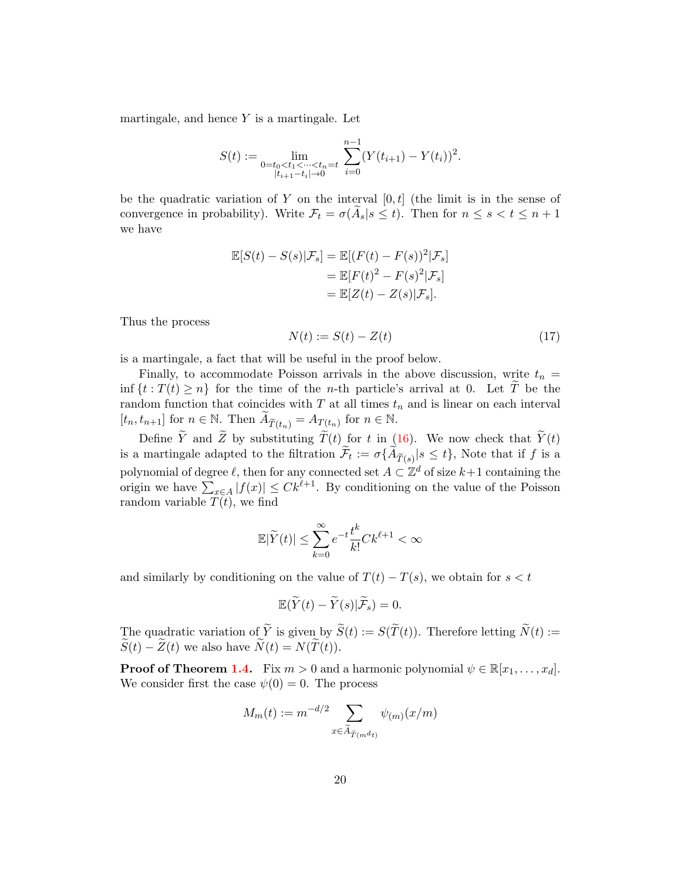martingale, and hence  $Y$  is a martingale. Let

$$
S(t) := \lim_{\substack{0 = t_0 < t_1 < \dots < t_n = t \\ |t_{i+1} - t_i| \to 0}} \sum_{i=0}^{n-1} (Y(t_{i+1}) - Y(t_i))^2.
$$

be the quadratic variation of Y on the interval  $[0, t]$  (the limit is in the sense of convergence in probability). Write  $\mathcal{F}_t = \sigma(\mathcal{A}_s | s \leq t)$ . Then for  $n \leq s < t \leq n+1$ we have

$$
\mathbb{E}[S(t) - S(s)|\mathcal{F}_s] = \mathbb{E}[(F(t) - F(s))^2|\mathcal{F}_s]
$$
  
= 
$$
\mathbb{E}[F(t)^2 - F(s)^2|\mathcal{F}_s]
$$
  
= 
$$
\mathbb{E}[Z(t) - Z(s)|\mathcal{F}_s].
$$

Thus the process

<span id="page-19-0"></span>
$$
N(t) := S(t) - Z(t) \tag{17}
$$

is a martingale, a fact that will be useful in the proof below.

Finally, to accommodate Poisson arrivals in the above discussion, write  $t_n =$ inf  $\{t : T(t) \geq n\}$  for the time of the *n*-th particle's arrival at 0. Let  $\widetilde{T}$  be the random function that coincides with  $T$  at all times  $t_n$  and is linear on each interval  $[t_n, t_{n+1}]$  for  $n \in \mathbb{N}$ . Then  $\widetilde{A}_{\widetilde{T}(t_n)} = A_{T(t_n)}$  for  $n \in \mathbb{N}$ .

Define  $\widetilde{Y}$  and  $\widetilde{Z}$  by substituting  $\widetilde{T}(t)$  for t in [\(16\)](#page-18-1). We now check that  $\widetilde{Y}(t)$ is a martingale adapted to the filtration  $\mathcal{F}_t := \sigma\{A_{\widetilde{T}(s)} | s \leq t\}$ , Note that if f is a polynomial of degree  $\ell$ , then for any connected set  $A \subset \mathbb{Z}^d$  of size  $k+1$  containing the origin we have  $\sum_{x \in A} |f(x)| \leq C k^{\ell+1}$ . By conditioning on the value of the Poisson random variable  $T(t)$ , we find

$$
\mathbb{E}|\widetilde{Y}(t)|\leq \sum_{k=0}^\infty e^{-t}\frac{t^k}{k!}Ck^{\ell+1}<\infty
$$

and similarly by conditioning on the value of  $T(t) - T(s)$ , we obtain for  $s < t$ 

$$
\mathbb{E}(\widetilde{Y}(t)-\widetilde{Y}(s)|\widetilde{\mathcal{F}}_s)=0.
$$

The quadratic variation of  $\widetilde{Y}$  is given by  $\widetilde{S}(t) := S(\widetilde{T}(t))$ . Therefore letting  $\widetilde{N}(t) :=$  $\widetilde{S}(t) - \widetilde{Z}(t)$  we also have  $\widetilde{N}(t) = N(\widetilde{T}(t)).$ 

**Proof of Theorem [1.4.](#page-10-0)** Fix  $m > 0$  and a harmonic polynomial  $\psi \in \mathbb{R}[x_1, \ldots, x_d]$ . We consider first the case  $\psi(0) = 0$ . The process

$$
M_m(t) := m^{-d/2} \sum_{x \in \widetilde{A}_{\widetilde{T}(m^d t)}} \psi_{(m)}(x/m)
$$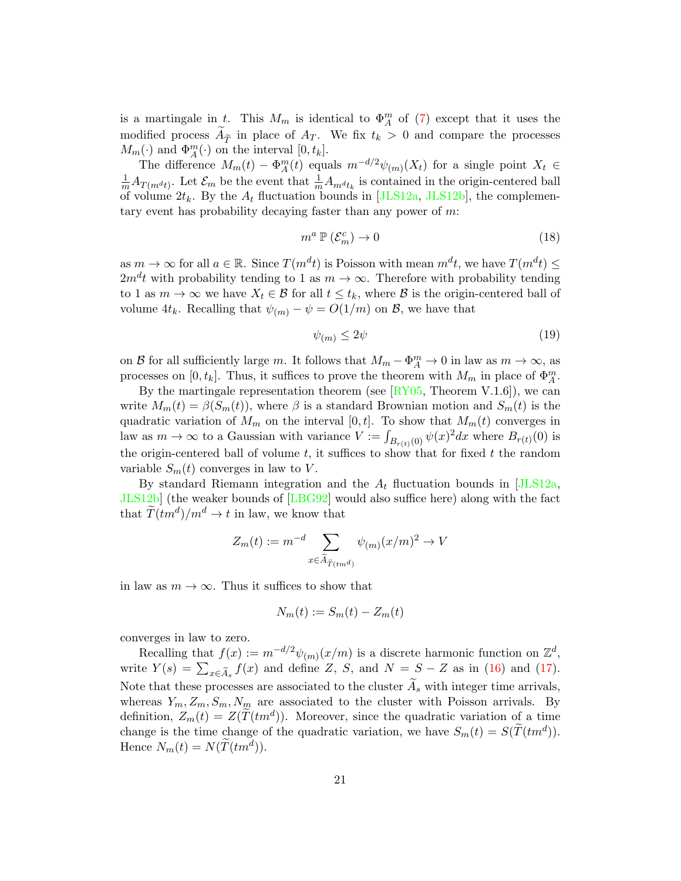is a martingale in t. This  $M_m$  is identical to  $\Phi_A^m$  of [\(7\)](#page-10-1) except that it uses the modified process  $A_{\tilde{T}}$  in place of  $A_{T}$ . We fix  $t_k > 0$  and compare the processes  $M_m(\cdot)$  and  $\Phi_A^m(\cdot)$  on the interval  $[0, t_k]$ .

The difference  $M_m(t) - \Phi_A^m(t)$  equals  $m^{-d/2}\psi_{(m)}(X_t)$  for a single point  $X_t \in$  $\frac{1}{m}A_{T(m^dt)}$ . Let  $\mathcal{E}_m$  be the event that  $\frac{1}{m}A_{m^dt_k}$  is contained in the origin-centered ball of volume  $2t_k$ . By the  $A_t$  fluctuation bounds in [\[JLS12a,](#page-39-3) [JLS12b\]](#page-39-4), the complementary event has probability decaying faster than any power of  $m$ .

<span id="page-20-0"></span>
$$
m^a \, \mathbb{P} \left( \mathcal{E}_m^c \right) \to 0 \tag{18}
$$

as  $m \to \infty$  for all  $a \in \mathbb{R}$ . Since  $T(m^d t)$  is Poisson with mean  $m^d t$ , we have  $T(m^d t) \leq$  $2m^d t$  with probability tending to 1 as  $m \to \infty$ . Therefore with probability tending to 1 as  $m \to \infty$  we have  $X_t \in \mathcal{B}$  for all  $t \leq t_k$ , where  $\mathcal{B}$  is the origin-centered ball of volume  $4t_k$ . Recalling that  $\psi_{(m)} - \psi = O(1/m)$  on  $\mathcal{B}$ , we have that

<span id="page-20-1"></span>
$$
\psi_{(m)} \le 2\psi \tag{19}
$$

on B for all sufficiently large m. It follows that  $M_m - \Phi_A^m \to 0$  in law as  $m \to \infty$ , as processes on  $[0, t_k]$ . Thus, it suffices to prove the theorem with  $M_m$  in place of  $\Phi_A^m$ .

By the martingale representation theorem (see  $[\overline{\text{RY05}}]$ , Theorem V.1.6), we can write  $M_m(t) = \beta(S_m(t))$ , where  $\beta$  is a standard Brownian motion and  $S_m(t)$  is the quadratic variation of  $M_m$  on the interval [0, t]. To show that  $M_m(t)$  converges in law as  $m \to \infty$  to a Gaussian with variance  $V := \int_{B_{r(t)}(0)} \psi(x)^2 dx$  where  $B_{r(t)}(0)$  is the origin-centered ball of volume  $t$ , it suffices to show that for fixed  $t$  the random variable  $S_m(t)$  converges in law to V.

By standard Riemann integration and the  $A_t$  fluctuation bounds in [\[JLS12a,](#page-39-3) [JLS12b\]](#page-39-4) (the weaker bounds of [\[LBG92\]](#page-39-1) would also suffice here) along with the fact that  $\widetilde{T}(tm^d)/m^d \to t$  in law, we know that

$$
Z_m(t) := m^{-d} \sum_{x \in \widetilde{A}_{\widetilde{T}(tm^d)}} \psi_{(m)}(x/m)^2 \to V
$$

in law as  $m \to \infty$ . Thus it suffices to show that

$$
N_m(t) := S_m(t) - Z_m(t)
$$

converges in law to zero.

Recalling that  $f(x) := m^{-d/2} \psi_{(m)}(x/m)$  is a discrete harmonic function on  $\mathbb{Z}^d$ , write  $Y(s) = \sum_{x \in \widetilde{A}_s} f(x)$  and define Z, S, and  $N = S - Z$  as in [\(16\)](#page-18-1) and [\(17\)](#page-19-0). Note that these processes are associated to the cluster  $A_s$  with integer time arrivals, whereas  $Y_m, Z_m, S_m, N_m$  are associated to the cluster with Poisson arrivals. By definition,  $Z_m(t) = Z(\tilde{T}(tm^d))$ . Moreover, since the quadratic variation of a time change is the time change of the quadratic variation, we have  $S_m(t) = S(\tilde{T}(tm^d)).$ Hence  $N_m(t) = N(\tilde{T}(tm^d)).$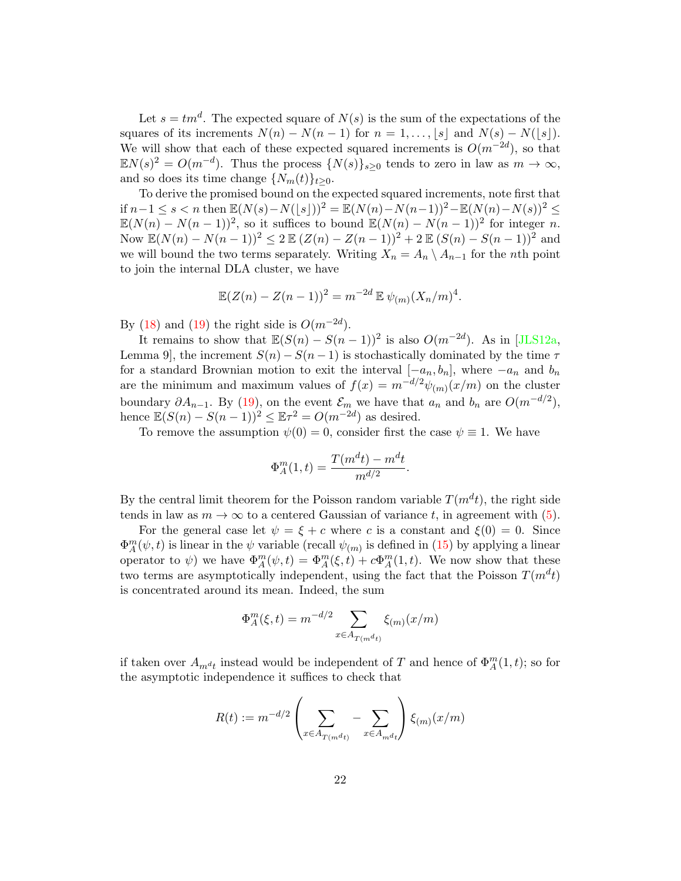Let  $s = tm^d$ . The expected square of  $N(s)$  is the sum of the expectations of the squares of its increments  $N(n) - N(n-1)$  for  $n = 1, ..., \lfloor s \rfloor$  and  $N(s) - N(|s|)$ . We will show that each of these expected squared increments is  $O(m^{-2d})$ , so that  $\mathbb{E} N(s)^2 = O(m^{-d})$ . Thus the process  $\{N(s)\}_{s\geq 0}$  tends to zero in law as  $m \to \infty$ , and so does its time change  $\{N_m(t)\}_{t\geq 0}$ .

To derive the promised bound on the expected squared increments, note first that if  $n-1 \le s < n$  then  $\mathbb{E}(N(s)-N(|s|))^2 = \mathbb{E}(N(n)-N(n-1))^2 - \mathbb{E}(N(n)-N(s))^2 \le$  $\mathbb{E}(N(n)-N(n-1))^2$ , so it suffices to bound  $\mathbb{E}(N(n)-N(n-1))^2$  for integer n. Now  $\mathbb{E}(N(n) - N(n-1))^2 \leq 2 \mathbb{E} (Z(n) - Z(n-1))^2 + 2 \mathbb{E} (S(n) - S(n-1))^2$  and we will bound the two terms separately. Writing  $X_n = A_n \setminus A_{n-1}$  for the nth point to join the internal DLA cluster, we have

$$
\mathbb{E}(Z(n) - Z(n-1))^2 = m^{-2d} \mathbb{E} \psi_{(m)}(X_n/m)^4.
$$

By [\(18\)](#page-20-0) and [\(19\)](#page-20-1) the right side is  $O(m^{-2d})$ .

It remains to show that  $\mathbb{E}(S(n) - S(n-1))^2$  is also  $O(m^{-2d})$ . As in [\[JLS12a,](#page-39-3) Lemma 9, the increment  $S(n) - S(n-1)$  is stochastically dominated by the time  $\tau$ for a standard Brownian motion to exit the interval  $[-a_n, b_n]$ , where  $-a_n$  and  $b_n$ are the minimum and maximum values of  $f(x) = m^{-d/2} \psi_{(m)}(x/m)$  on the cluster boundary  $\partial A_{n-1}$ . By [\(19\)](#page-20-1), on the event  $\mathcal{E}_m$  we have that  $a_n$  and  $b_n$  are  $O(m^{-d/2})$ , hence  $\mathbb{E}(S(n) - S(n-1))^2 \leq \mathbb{E}\tau^2 = O(m^{-2d})$  as desired.

To remove the assumption  $\psi(0) = 0$ , consider first the case  $\psi \equiv 1$ . We have

$$
\Phi_{A}^{m}(1,t) = \frac{T(m^{d}t) - m^{d}t}{m^{d/2}}.
$$

By the central limit theorem for the Poisson random variable  $T(m^d t)$ , the right side tends in law as  $m \to \infty$  to a centered Gaussian of variance t, in agreement with [\(5\)](#page-9-0).

For the general case let  $\psi = \xi + c$  where c is a constant and  $\xi(0) = 0$ . Since  $\Phi_A^m(\psi, t)$  is linear in the  $\psi$  variable (recall  $\psi_{(m)}$  is defined in [\(15\)](#page-17-1) by applying a linear operator to  $\psi$ ) we have  $\Phi_A^m(\psi, t) = \Phi_A^m(\xi, t) + c \Phi_A^m(1, t)$ . We now show that these two terms are asymptotically independent, using the fact that the Poisson  $T(m^d t)$ is concentrated around its mean. Indeed, the sum

$$
\Phi_A^m(\xi, t) = m^{-d/2} \sum_{x \in A_{T(m^dt)}} \xi_{(m)}(x/m)
$$

if taken over  $A_{m}d_t$  instead would be independent of T and hence of  $\Phi_A^m(1,t)$ ; so for the asymptotic independence it suffices to check that

$$
R(t) := m^{-d/2} \left( \sum_{x \in A_{T(m^{d}t)}} - \sum_{x \in A_{m^{d}t}} \right) \xi_{(m)}(x/m)
$$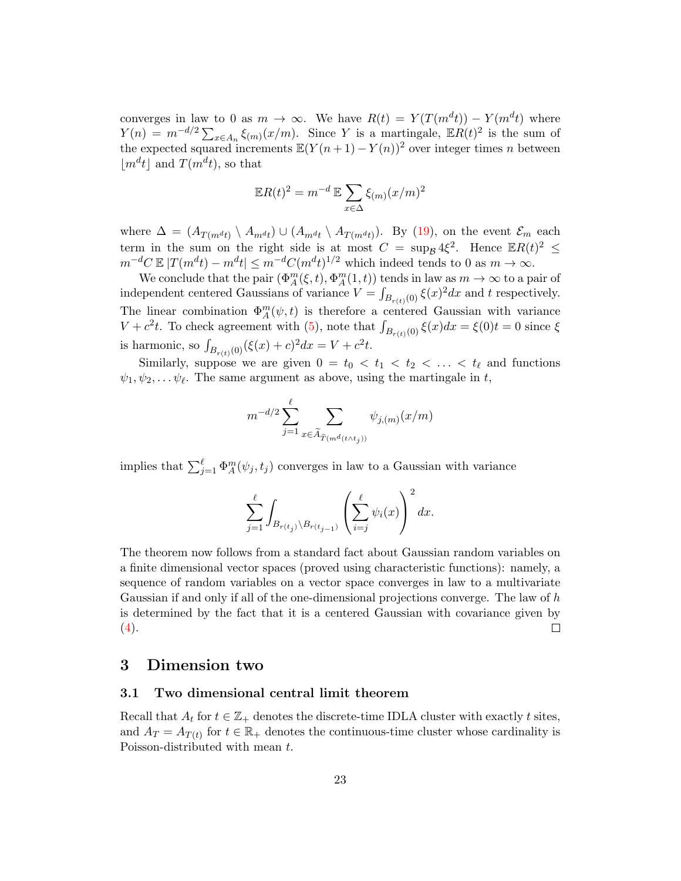converges in law to 0 as  $m \to \infty$ . We have  $R(t) = Y(T(m^d t)) - Y(m^d t)$  where  $Y(n) = m^{-d/2} \sum_{x \in A_n} \xi_{(m)}(x/m)$ . Since Y is a martingale,  $\mathbb{E}R(t)^2$  is the sum of the expected squared increments  $\mathbb{E}(Y(n+1) - Y(n))^2$  over integer times n between  $|m^d t|$  and  $T(m^d t)$ , so that

$$
\mathbb{E}R(t)^2 = m^{-d} \mathbb{E} \sum_{x \in \Delta} \xi_{(m)} (x/m)^2
$$

where  $\Delta = (A_{T(m^{d}t)} \setminus A_{m^{d}t}) \cup (A_{m^{d}t} \setminus A_{T(m^{d}t)})$ . By [\(19\)](#page-20-1), on the event  $\mathcal{E}_m$  each term in the sum on the right side is at most  $C = \sup_{\mathcal{B}} 4\xi^2$ . Hence  $\mathbb{E}R(t)^2 \leq$  $m^{-d}C \mathbb{E} |T(m^dt) - m^dt| \leq m^{-d}C(m^dt)^{1/2}$  which indeed tends to 0 as  $m \to \infty$ .

We conclude that the pair  $(\Phi_A^m(\xi, t), \Phi_A^m(1, t))$  tends in law as  $m \to \infty$  to a pair of independent centered Gaussians of variance  $V = \int_{B_{r(t)}(0)} \xi(x)^2 dx$  and t respectively. The linear combination  $\Phi_A^m(\psi, t)$  is therefore a centered Gaussian with variance  $V + c^2t$ . To check agreement with [\(5\)](#page-9-0), note that  $\int_{B_{r(t)}(0)} \xi(x)dx = \xi(0)t = 0$  since  $\xi$ is harmonic, so  $\int_{B_{r(t)}(0)} (\xi(x) + c)^2 dx = V + c^2 t$ .

Similarly, suppose we are given  $0 = t_0 < t_1 < t_2 < \ldots < t_\ell$  and functions  $\psi_1, \psi_2, \dots, \psi_\ell$ . The same argument as above, using the martingale in t,

$$
m^{-d/2} \sum_{j=1}^{\ell} \sum_{x \in \widetilde{A}_{\widetilde{T}(m^d(t \wedge t_j))}} \psi_{j,(m)}(x/m)
$$

implies that  $\sum_{j=1}^{\ell} \Phi_A^m(\psi_j, t_j)$  converges in law to a Gaussian with variance

$$
\sum_{j=1}^{\ell}\int_{B_{r(t_j)}\backslash B_{r(t_{j-1})}}\left(\sum_{i=j}^{\ell}\psi_i(x)\right)^2dx.
$$

The theorem now follows from a standard fact about Gaussian random variables on a finite dimensional vector spaces (proved using characteristic functions): namely, a sequence of random variables on a vector space converges in law to a multivariate Gaussian if and only if all of the one-dimensional projections converge. The law of h is determined by the fact that it is a centered Gaussian with covariance given by  $(4).$  $(4).$  $\Box$ 

### <span id="page-22-0"></span>3 Dimension two

#### <span id="page-22-1"></span>3.1 Two dimensional central limit theorem

Recall that  $A_t$  for  $t \in \mathbb{Z}_+$  denotes the discrete-time IDLA cluster with exactly t sites, and  $A_T = A_{T(t)}$  for  $t \in \mathbb{R}_+$  denotes the continuous-time cluster whose cardinality is Poisson-distributed with mean  $t$ .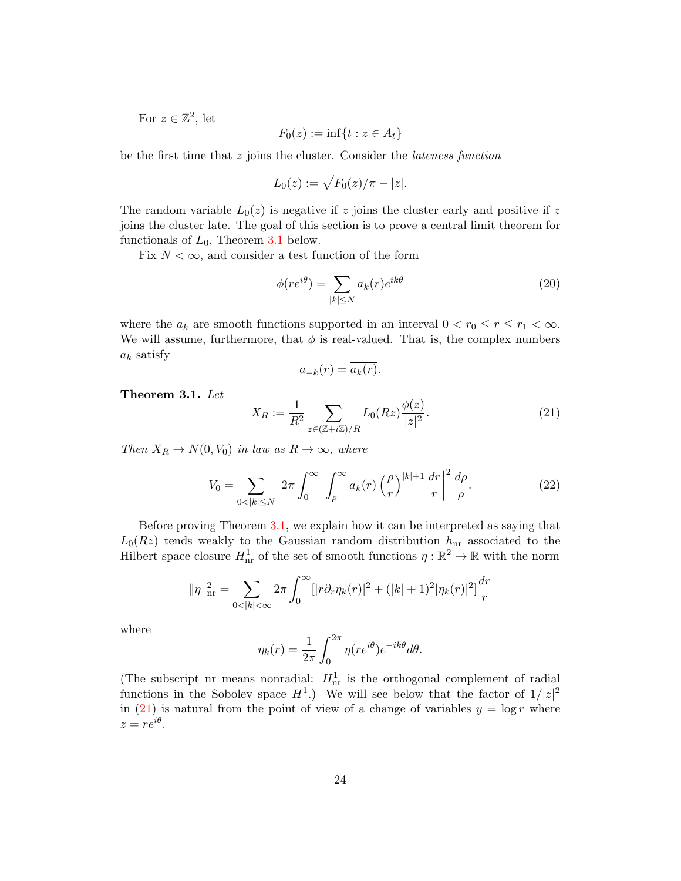For  $z \in \mathbb{Z}^2$ , let

$$
F_0(z) := \inf\{t : z \in A_t\}
$$

be the first time that z joins the cluster. Consider the *lateness function* 

$$
L_0(z) := \sqrt{F_0(z)/\pi} - |z|.
$$

The random variable  $L_0(z)$  is negative if z joins the cluster early and positive if z joins the cluster late. The goal of this section is to prove a central limit theorem for functionals of  $L_0$ , Theorem [3.1](#page-23-0) below.

Fix  $N < \infty$ , and consider a test function of the form

<span id="page-23-2"></span>
$$
\phi(re^{i\theta}) = \sum_{|k| \le N} a_k(r)e^{ik\theta} \tag{20}
$$

where the  $a_k$  are smooth functions supported in an interval  $0 < r_0 \le r \le r_1 < \infty$ . We will assume, furthermore, that  $\phi$  is real-valued. That is, the complex numbers  $a_k$  satisfy

$$
a_{-k}(r) = \overline{a_k(r)}.
$$

<span id="page-23-0"></span>Theorem 3.1. Let

<span id="page-23-1"></span>
$$
X_R := \frac{1}{R^2} \sum_{z \in (\mathbb{Z} + i\mathbb{Z})/R} L_0(Rz) \frac{\phi(z)}{|z|^2}.
$$
 (21)

Then  $X_R \to N(0, V_0)$  in law as  $R \to \infty$ , where

<span id="page-23-3"></span>
$$
V_0 = \sum_{0 < |k| \le N} 2\pi \int_0^\infty \left| \int_\rho^\infty a_k(r) \left( \frac{\rho}{r} \right)^{|k|+1} \frac{dr}{r} \right|^2 \frac{d\rho}{\rho}.\tag{22}
$$

Before proving Theorem [3.1,](#page-23-0) we explain how it can be interpreted as saying that  $L_0(Rz)$  tends weakly to the Gaussian random distribution  $h_{nr}$  associated to the Hilbert space closure  $H^1_{\text{nr}}$  of the set of smooth functions  $\eta : \mathbb{R}^2 \to \mathbb{R}$  with the norm

$$
\|\eta\|_{\mathrm{nr}}^2 = \sum_{0 < |k| < \infty} 2\pi \int_0^\infty [|\tau \partial_r \eta_k(r)|^2 + (|k|+1)^2 |\eta_k(r)|^2] \frac{dr}{r}
$$

where

$$
\eta_k(r) = \frac{1}{2\pi} \int_0^{2\pi} \eta(re^{i\theta}) e^{-ik\theta} d\theta.
$$

(The subscript nr means nonradial:  $H_{nr}^1$  is the orthogonal complement of radial functions in the Sobolev space  $H^1$ .) We will see below that the factor of  $1/|z|^2$ in [\(21\)](#page-23-1) is natural from the point of view of a change of variables  $y = \log r$  where  $z = re^{i\theta}.$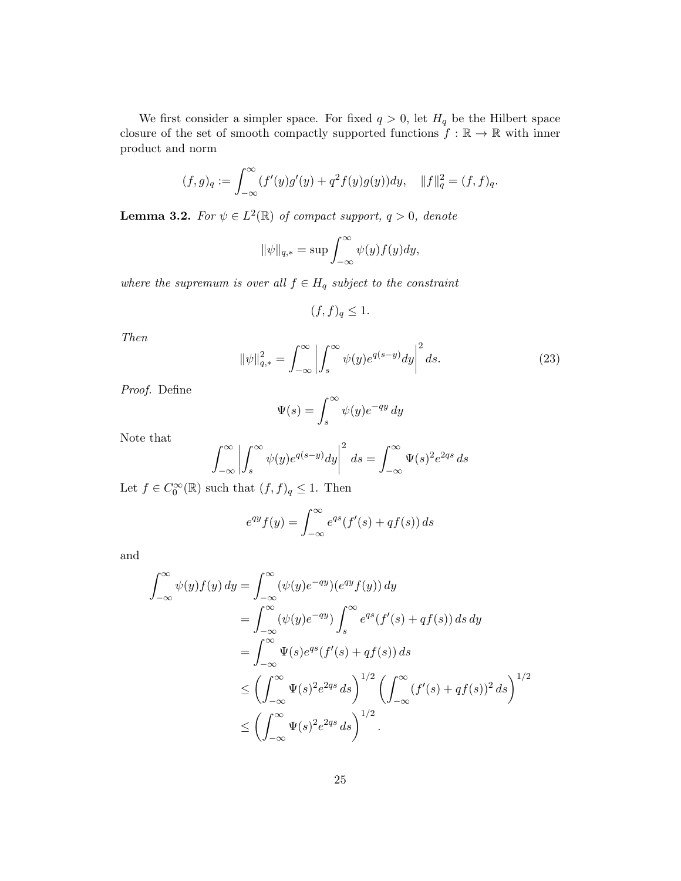We first consider a simpler space. For fixed  $q > 0$ , let  $H_q$  be the Hilbert space closure of the set of smooth compactly supported functions  $f: \mathbb{R} \to \mathbb{R}$  with inner product and norm

$$
(f,g)_q := \int_{-\infty}^{\infty} (f'(y)g'(y) + q^2 f(y)g(y)) dy, \quad ||f||_q^2 = (f,f)_q.
$$

<span id="page-24-1"></span>**Lemma 3.2.** For  $\psi \in L^2(\mathbb{R})$  of compact support,  $q > 0$ , denote

$$
\|\psi\|_{q,*} = \sup \int_{-\infty}^{\infty} \psi(y) f(y) dy,
$$

where the supremum is over all  $f \in H_q$  subject to the constraint

$$
(f, f)_q \le 1.
$$

Then

<span id="page-24-0"></span>
$$
\|\psi\|_{q,*}^2 = \int_{-\infty}^{\infty} \left| \int_s^{\infty} \psi(y) e^{q(s-y)} dy \right|^2 ds.
$$
 (23)

Proof. Define

$$
\Psi(s) = \int_s^\infty \psi(y) e^{-qy} \, dy
$$

Note that

$$
\int_{-\infty}^{\infty} \left| \int_{s}^{\infty} \psi(y) e^{q(s-y)} dy \right|^2 ds = \int_{-\infty}^{\infty} \Psi(s)^2 e^{2qs} ds
$$

Let  $f \in C_0^{\infty}(\mathbb{R})$  such that  $(f, f)_q \leq 1$ . Then

$$
e^{qy}f(y) = \int_{-\infty}^{\infty} e^{qs}(f'(s) + qf(s)) ds
$$

and

$$
\int_{-\infty}^{\infty} \psi(y) f(y) dy = \int_{-\infty}^{\infty} (\psi(y) e^{-qy}) (e^{qy} f(y)) dy
$$
  
\n
$$
= \int_{-\infty}^{\infty} (\psi(y) e^{-qy}) \int_{s}^{\infty} e^{qs} (f'(s) + qf(s)) ds dy
$$
  
\n
$$
= \int_{-\infty}^{\infty} \Psi(s) e^{qs} (f'(s) + qf(s)) ds
$$
  
\n
$$
\leq \left( \int_{-\infty}^{\infty} \Psi(s)^{2} e^{2qs} ds \right)^{1/2} \left( \int_{-\infty}^{\infty} (f'(s) + qf(s))^{2} ds \right)^{1/2}
$$
  
\n
$$
\leq \left( \int_{-\infty}^{\infty} \Psi(s)^{2} e^{2qs} ds \right)^{1/2}.
$$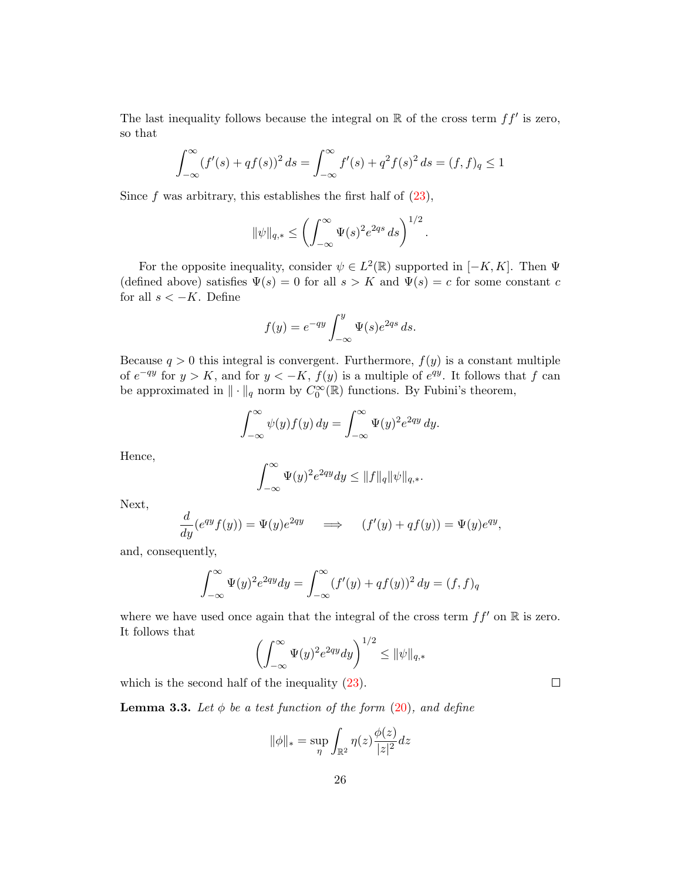The last inequality follows because the integral on  $\mathbb R$  of the cross term  $ff'$  is zero, so that

$$
\int_{-\infty}^{\infty} (f'(s) + qf(s))^2 ds = \int_{-\infty}^{\infty} f'(s) + q^2 f(s)^2 ds = (f, f)_q \le 1
$$

Since f was arbitrary, this establishes the first half of  $(23)$ ,

$$
\|\psi\|_{q,*} \le \left(\int_{-\infty}^{\infty} \Psi(s)^2 e^{2qs} \, ds\right)^{1/2}.
$$

For the opposite inequality, consider  $\psi \in L^2(\mathbb{R})$  supported in  $[-K, K]$ . Then  $\Psi$ (defined above) satisfies  $\Psi(s) = 0$  for all  $s > K$  and  $\Psi(s) = c$  for some constant c for all  $s < -K$ . Define

$$
f(y) = e^{-qy} \int_{-\infty}^{y} \Psi(s) e^{2qs} ds.
$$

Because  $q > 0$  this integral is convergent. Furthermore,  $f(y)$  is a constant multiple of  $e^{-qy}$  for  $y > K$ , and for  $y < -K$ ,  $f(y)$  is a multiple of  $e^{qy}$ . It follows that f can be approximated in  $\|\cdot\|_q$  norm by  $C_0^{\infty}(\mathbb{R})$  functions. By Fubini's theorem,

$$
\int_{-\infty}^{\infty} \psi(y) f(y) dy = \int_{-\infty}^{\infty} \Psi(y)^2 e^{2qy} dy.
$$

Hence,

$$
\int_{-\infty}^{\infty} \Psi(y)^2 e^{2qy} dy \le ||f||_q ||\psi||_{q,*}.
$$

Next,

$$
\frac{d}{dy}(e^{qy}f(y)) = \Psi(y)e^{2qy} \quad \Longrightarrow \quad (f'(y) + qf(y)) = \Psi(y)e^{qy},
$$

and, consequently,

$$
\int_{-\infty}^{\infty} \Psi(y)^2 e^{2qy} dy = \int_{-\infty}^{\infty} (f'(y) + qf(y))^2 dy = (f, f)_q
$$

where we have used once again that the integral of the cross term  $ff'$  on R is zero. It follows that

$$
\left(\int_{-\infty}^{\infty} \Psi(y)^2 e^{2qy} dy\right)^{1/2} \le ||\psi||_{q,*}
$$

which is the second half of the inequality  $(23)$ .

**Lemma 3.3.** Let  $\phi$  be a test function of the form [\(20\)](#page-23-2), and define

$$
\|\phi\|_{*} = \sup_{\eta} \int_{\mathbb{R}^{2}} \eta(z) \frac{\phi(z)}{|z|^{2}} dz
$$

 $\Box$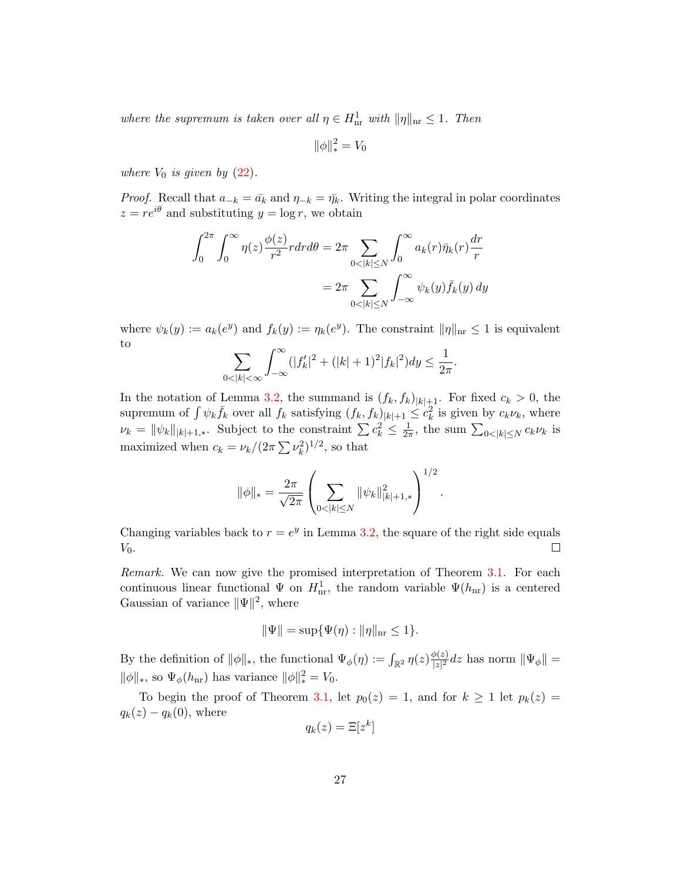where the supremum is taken over all  $\eta \in H^1_{\text{nr}}$  with  $\|\eta\|_{\text{nr}} \leq 1$ . Then

$$
\|\phi\|_*^2=V_0
$$

where  $V_0$  is given by  $(22)$ .

*Proof.* Recall that  $a_{-k} = \bar{a}_k$  and  $\eta_{-k} = \bar{\eta}_k$ . Writing the integral in polar coordinates  $z = re^{i\theta}$  and substituting  $y = \log r$ , we obtain

$$
\int_0^{2\pi} \int_0^{\infty} \eta(z) \frac{\phi(z)}{r^2} r dr d\theta = 2\pi \sum_{0 < |k| \le N} \int_0^{\infty} a_k(r) \bar{\eta}_k(r) \frac{dr}{r}
$$
\n
$$
= 2\pi \sum_{0 < |k| \le N} \int_{-\infty}^{\infty} \psi_k(y) \bar{f}_k(y) \, dy
$$

where  $\psi_k(y) := a_k(e^y)$  and  $f_k(y) := \eta_k(e^y)$ . The constraint  $\|\eta\|_{\text{nr}} \leq 1$  is equivalent to

$$
\sum_{0<|k|<\infty}\int_{-\infty}^{\infty}(|f_k'|^2+(|k|+1)^2|f_k|^2)dy\leq \frac{1}{2\pi}.
$$

In the notation of Lemma [3.2,](#page-24-1) the summand is  $(f_k, f_k)_{|k|+1}$ . For fixed  $c_k > 0$ , the supremum of  $\int \psi_k \bar{f}_k$  over all  $f_k$  satisfying  $(f_k, f_k)_{|k|+1} \leq c_k^2$  is given by  $c_k \nu_k$ , where  $\nu_k = \|\psi_k\|_{|k|+1,*}$ . Subject to the constraint  $\sum c_k^2 \leq \frac{1}{2i}$  $\frac{1}{2\pi}$ , the sum  $\sum_{0<|k|\leq N}c_k\nu_k$  is maximized when  $c_k = \nu_k / (2\pi \sum \nu_k^2)^{1/2}$ , so that

$$
\|\phi\|_{*} = \frac{2\pi}{\sqrt{2\pi}} \left( \sum_{0 < |k| \le N} \|\psi_k\|_{|k|+1,*}^2 \right)^{1/2}
$$

.

Changing variables back to  $r = e^y$  in Lemma [3.2,](#page-24-1) the square of the right side equals  $V_0$ .  $\Box$ 

Remark. We can now give the promised interpretation of Theorem [3.1.](#page-23-0) For each continuous linear functional  $\Psi$  on  $H_{nr}^1$ , the random variable  $\Psi(h_{nr})$  is a centered Gaussian of variance  $\|\Psi\|^2$ , where

$$
\|\Psi\| = \sup \{\Psi(\eta) : \|\eta\|_{\text{nr}} \le 1\}.
$$

By the definition of  $\|\phi\|_*,$  the functional  $\Psi_{\phi}(\eta) := \int_{\mathbb{R}^2} \eta(z) \frac{\phi(z)}{|z|^2}$  $\frac{\mathcal{P}(z)}{|z|^2}dz$  has norm  $\|\Psi_{\phi}\| =$  $\|\phi\|_*,$  so  $\Psi_\phi(h_{\rm nr})$  has variance  $\|\phi\|_*^2 = V_0$ .

To begin the proof of Theorem [3.1,](#page-23-0) let  $p_0(z) = 1$ , and for  $k \ge 1$  let  $p_k(z) =$  $q_k(z) - q_k(0)$ , where

$$
q_k(z) = \Xi[z^k]
$$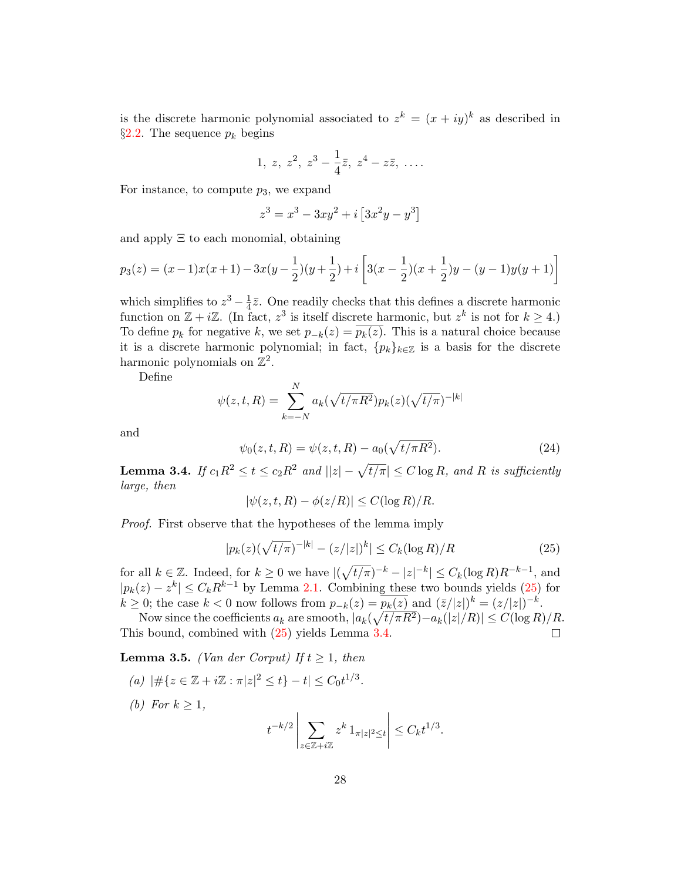is the discrete harmonic polynomial associated to  $z^k = (x + iy)^k$  as described in §[2.2.](#page-16-2) The sequence  $p_k$  begins

$$
1, z, z^2, z^3 - \frac{1}{4}\bar{z}, z^4 - z\bar{z}, \ldots
$$

For instance, to compute  $p_3$ , we expand

$$
z^3 = x^3 - 3xy^2 + i[3x^2y - y^3]
$$

and apply Ξ to each monomial, obtaining

$$
p_3(z) = (x-1)x(x+1) - 3x(y-\frac{1}{2})(y+\frac{1}{2}) + i\left[3(x-\frac{1}{2})(x+\frac{1}{2})y - (y-1)y(y+1)\right]
$$

which simplifies to  $z^3 - \frac{1}{4}$  $\frac{1}{4}\bar{z}$ . One readily checks that this defines a discrete harmonic function on  $\mathbb{Z} + i\mathbb{Z}$ . (In fact,  $z^3$  is itself discrete harmonic, but  $z^k$  is not for  $k \geq 4$ .) To define  $p_k$  for negative k, we set  $p_{-k}(z) = \overline{p_k(z)}$ . This is a natural choice because it is a discrete harmonic polynomial; in fact,  ${p_k}_{k \in \mathbb{Z}}$  is a basis for the discrete harmonic polynomials on  $\mathbb{Z}^2$ .

Define

$$
\psi(z, t, R) = \sum_{k=-N}^{N} a_k (\sqrt{t/\pi R^2}) p_k(z) (\sqrt{t/\pi})^{-|k|}
$$

and

<span id="page-27-3"></span>
$$
\psi_0(z, t, R) = \psi(z, t, R) - a_0(\sqrt{t/\pi R^2}).
$$
\n(24)

<span id="page-27-1"></span>**Lemma 3.4.** If  $c_1R^2 \le t \le c_2R^2$  and  $||z| - \sqrt{t/\pi}||\le C \log R$ , and R is sufficiently large, then

$$
|\psi(z, t, R) - \phi(z/R)| \le C(\log R)/R.
$$

Proof. First observe that the hypotheses of the lemma imply

<span id="page-27-0"></span>
$$
|p_k(z)(\sqrt{t/\pi})^{-|k|} - (z/|z|)^k| \le C_k(\log R)/R
$$
 (25)

 $\overline{1}$ 

for all  $k \in \mathbb{Z}$ . Indeed, for  $k \geq 0$  we have  $|(\sqrt{t/\pi})^{-k} - |z|^{-k}| \leq C_k(\log R)R^{-k-1}$ , and  $|p_k(z) - z^k| \leq C_k R^{k-1}$  by Lemma [2.1.](#page-17-0) Combining these two bounds yields [\(25\)](#page-27-0) for  $k \geq 0$ ; the case  $k < 0$  now follows from  $p_{-k}(z) = \overline{p_k(z)}$  and  $(\overline{z}/|z|)^k = (z/|z|)^{-k}$ .

Now since the coefficients  $a_k$  are smooth,  $|a_k(\sqrt{t/\pi R^2})-a_k(|z|/R)| \leq C(\log R)/R$ . This bound, combined with [\(25\)](#page-27-0) yields Lemma [3.4.](#page-27-1)  $\Box$ 

<span id="page-27-2"></span>**Lemma 3.5.** (Van der Corput) If  $t \geq 1$ , then

(a) 
$$
|\#\{z \in \mathbb{Z} + i\mathbb{Z} : \pi|z|^2 \le t\} - t| \le C_0 t^{1/3}.
$$
  
(b) For  $k \ge 1$ ,  
 $t^{-k/2} \left| \sum_{k=1}^{k} x^k e^{-k} \right|$ 

$$
t^{-k/2} \left| \sum_{z \in \mathbb{Z} + i\mathbb{Z}} z^k \, 1_{\pi |z|^2 \le t} \right| \le C_k t^{1/3}.
$$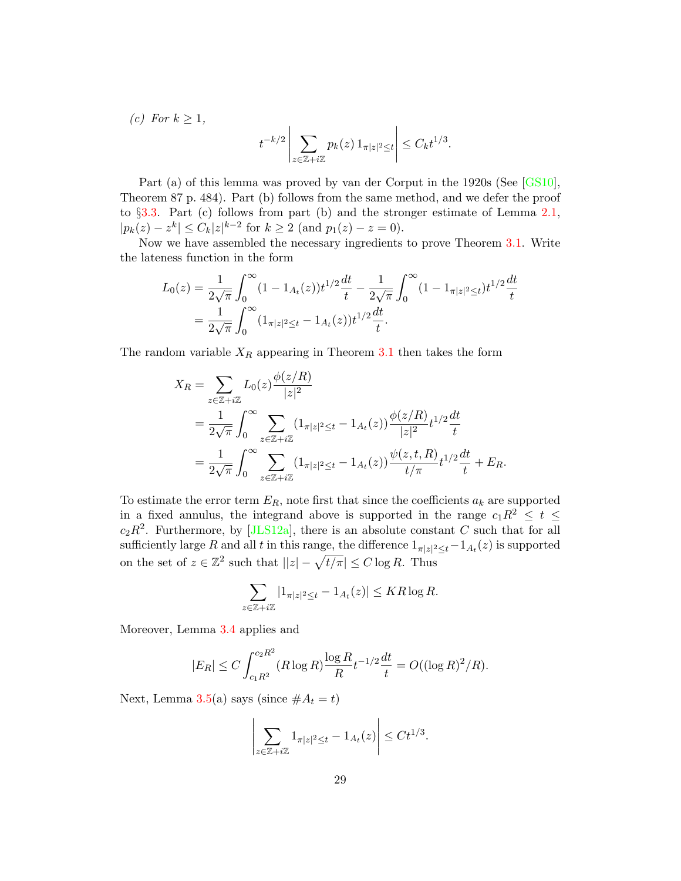(c) For  $k \geq 1$ ,

$$
t^{-k/2} \left| \sum_{z \in \mathbb{Z} + i\mathbb{Z}} p_k(z) \, 1_{\pi |z|^2 \le t} \right| \le C_k t^{1/3}.
$$

Part (a) of this lemma was proved by van der Corput in the 1920s (See [\[GS10\]](#page-38-11), Theorem 87 p. 484). Part (b) follows from the same method, and we defer the proof to §[3.3.](#page-35-0) Part (c) follows from part (b) and the stronger estimate of Lemma [2.1,](#page-17-0)  $|p_k(z) - z^k| \leq C_k |z|^{k-2}$  for  $k \geq 2$  (and  $p_1(z) - z = 0$ ).

Now we have assembled the necessary ingredients to prove Theorem [3.1.](#page-23-0) Write the lateness function in the form

$$
L_0(z) = \frac{1}{2\sqrt{\pi}} \int_0^\infty (1 - 1_{A_t}(z)) t^{1/2} \frac{dt}{t} - \frac{1}{2\sqrt{\pi}} \int_0^\infty (1 - 1_{\pi|z|^2 \le t}) t^{1/2} \frac{dt}{t}
$$
  
= 
$$
\frac{1}{2\sqrt{\pi}} \int_0^\infty (1_{\pi|z|^2 \le t} - 1_{A_t}(z)) t^{1/2} \frac{dt}{t}.
$$

The random variable  $X_R$  appearing in Theorem [3.1](#page-23-0) then takes the form

$$
X_R = \sum_{z \in \mathbb{Z} + i\mathbb{Z}} L_0(z) \frac{\phi(z/R)}{|z|^2}
$$
  
= 
$$
\frac{1}{2\sqrt{\pi}} \int_0^\infty \sum_{z \in \mathbb{Z} + i\mathbb{Z}} (1_{\pi |z|^2 \le t} - 1_{A_t}(z)) \frac{\phi(z/R)}{|z|^2} t^{1/2} \frac{dt}{t}
$$
  
= 
$$
\frac{1}{2\sqrt{\pi}} \int_0^\infty \sum_{z \in \mathbb{Z} + i\mathbb{Z}} (1_{\pi |z|^2 \le t} - 1_{A_t}(z)) \frac{\psi(z, t, R)}{t/\pi} t^{1/2} \frac{dt}{t} + E_R.
$$

To estimate the error term  $E_R$ , note first that since the coefficients  $a_k$  are supported in a fixed annulus, the integrand above is supported in the range  $c_1R^2 \leq t \leq$  $c_2R^2$ . Furthermore, by [\[JLS12a\]](#page-39-3), there is an absolute constant C such that for all sufficiently large R and all t in this range, the difference  $1_{\pi|z|^2 \leq t} - 1_{A_t}(z)$  is supported on the set of  $z \in \mathbb{Z}^2$  such that  $||z| - \sqrt{t/\pi} \leq C \log R$ . Thus

$$
\sum_{z \in \mathbb{Z} + i\mathbb{Z}} |1_{\pi|z|^2 \le t} - 1_{A_t}(z)| \le KR \log R.
$$

Moreover, Lemma [3.4](#page-27-1) applies and

$$
|E_R| \le C \int_{c_1 R^2}^{c_2 R^2} (R \log R) \frac{\log R}{R} t^{-1/2} \frac{dt}{t} = O((\log R)^2/R).
$$

Next, Lemma [3.5\(](#page-27-2)a) says (since  $#A_t = t$ )

$$
\left|\sum_{z\in\mathbb{Z}+i\mathbb{Z}}1_{\pi|z|^2\leq t}-1_{A_t}(z)\right|\leq Ct^{1/3}.
$$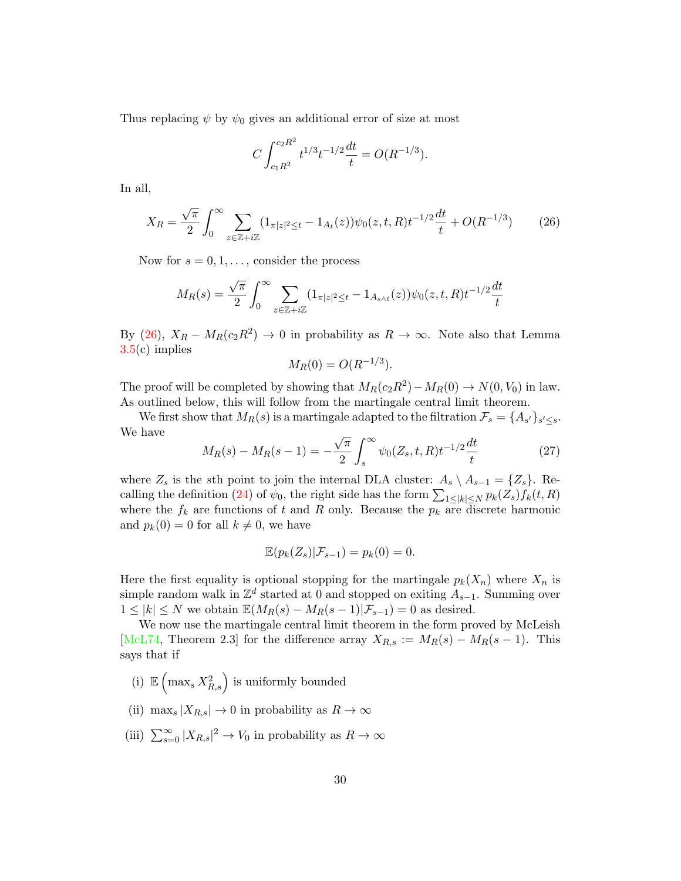Thus replacing  $\psi$  by  $\psi_0$  gives an additional error of size at most

$$
C \int_{c_1 R^2}^{c_2 R^2} t^{1/3} t^{-1/2} \frac{dt}{t} = O(R^{-1/3}).
$$

In all,

<span id="page-29-0"></span>
$$
X_R = \frac{\sqrt{\pi}}{2} \int_0^\infty \sum_{z \in \mathbb{Z} + i\mathbb{Z}} (1_{\pi|z|^2 \le t} - 1_{A_t}(z)) \psi_0(z, t, R) t^{-1/2} \frac{dt}{t} + O(R^{-1/3}) \tag{26}
$$

Now for  $s = 0, 1, \ldots$ , consider the process

$$
M_R(s) = \frac{\sqrt{\pi}}{2} \int_0^\infty \sum_{z \in \mathbb{Z} + i\mathbb{Z}} (1_{\pi |z|^2 \le t} - 1_{A_{s \wedge t}}(z)) \psi_0(z, t, R) t^{-1/2} \frac{dt}{t}
$$

By [\(26\)](#page-29-0),  $X_R - M_R(c_2R^2) \to 0$  in probability as  $R \to \infty$ . Note also that Lemma [3.5\(](#page-27-2)c) implies

$$
M_R(0) = O(R^{-1/3}).
$$

The proof will be completed by showing that  $M_R(c_2R^2) - M_R(0) \rightarrow N(0, V_0)$  in law. As outlined below, this will follow from the martingale central limit theorem.

We first show that  $M_R(s)$  is a martingale adapted to the filtration  $\mathcal{F}_s = \{A_{s'}\}_{s' \leq s}$ . We have √

<span id="page-29-1"></span>
$$
M_R(s) - M_R(s-1) = -\frac{\sqrt{\pi}}{2} \int_s^\infty \psi_0(Z_s, t, R) t^{-1/2} \frac{dt}{t}
$$
 (27)

where  $Z_s$  is the sth point to join the internal DLA cluster:  $A_s \setminus A_{s-1} = \{Z_s\}$ . Re-calling the definition [\(24\)](#page-27-3) of  $\psi_0$ , the right side has the form  $\sum_{1 \leq |k| \leq N} p_k(Z_s) f_k(t, R)$ where the  $f_k$  are functions of t and R only. Because the  $p_k$  are discrete harmonic and  $p_k(0) = 0$  for all  $k \neq 0$ , we have

$$
\mathbb{E}(p_k(Z_s)|\mathcal{F}_{s-1})=p_k(0)=0.
$$

Here the first equality is optional stopping for the martingale  $p_k(X_n)$  where  $X_n$  is simple random walk in  $\mathbb{Z}^d$  started at 0 and stopped on exiting  $A_{s-1}$ . Summing over  $1 \leq |k| \leq N$  we obtain  $\mathbb{E}(M_R(s) - M_R(s-1)|\mathcal{F}_{s-1}) = 0$  as desired.

We now use the martingale central limit theorem in the form proved by McLeish [\[McL74,](#page-39-11) Theorem 2.3] for the difference array  $X_{R,s} := M_R(s) - M_R(s-1)$ . This says that if

- (i)  $\mathbb{E}\left(\max_s X_{R,s}^2\right)$  is uniformly bounded
- (ii) max<sub>s</sub>  $|X_{R,s}| \to 0$  in probability as  $R \to \infty$
- (iii)  $\sum_{s=0}^{\infty} |X_{R,s}|^2 \to V_0$  in probability as  $R \to \infty$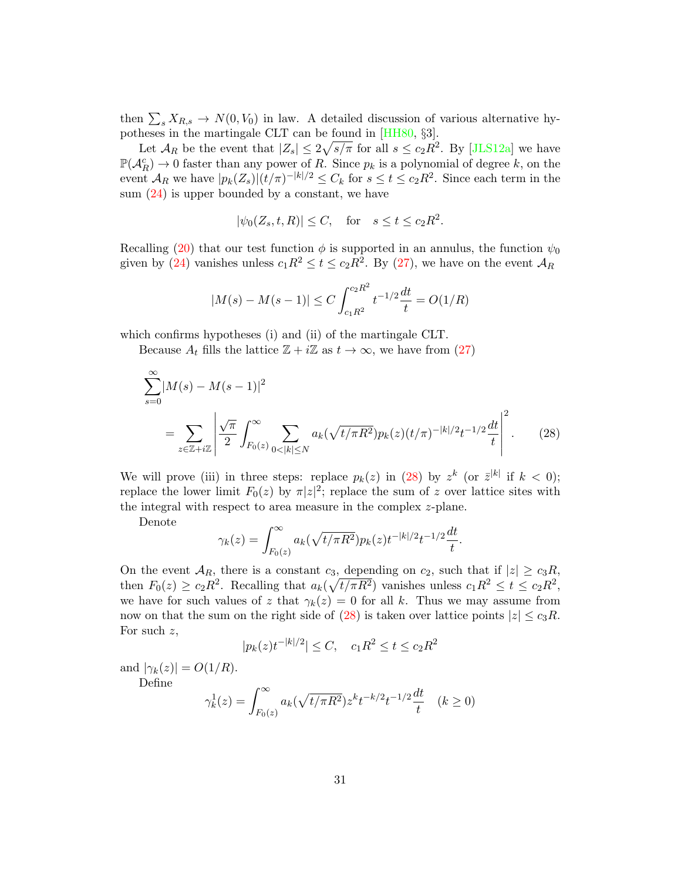then  $\sum_s X_{R,s} \to N(0, V_0)$  in law. A detailed discussion of various alternative hypotheses in the martingale CLT can be found in [\[HH80,](#page-38-12) §3].

Let  $\mathcal{A}_R$  be the event that  $|Z_s| \leq 2\sqrt{s/\pi}$  for all  $s \leq c_2 R^2$ . By [\[JLS12a\]](#page-39-3) we have  $\mathbb{P}(\mathcal{A}_R^c) \to 0$  faster than any power of R. Since  $p_k$  is a polynomial of degree k, on the event  $\mathcal{A}_R$  we have  $|p_k(Z_s)|(t/\pi)^{-|k|/2} \leq C_k$  for  $s \leq t \leq c_2 R^2$ . Since each term in the sum  $(24)$  is upper bounded by a constant, we have

$$
|\psi_0(Z_s, t, R)| \le C, \quad \text{for} \quad s \le t \le c_2 R^2.
$$

Recalling [\(20\)](#page-23-2) that our test function  $\phi$  is supported in an annulus, the function  $\psi_0$ given by [\(24\)](#page-27-3) vanishes unless  $c_1R^2 \le t \le c_2R^2$ . By [\(27\)](#page-29-1), we have on the event  $\mathcal{A}_R$ 

$$
|M(s) - M(s-1)| \le C \int_{c_1 R^2}^{c_2 R^2} t^{-1/2} \frac{dt}{t} = O(1/R)
$$

which confirms hypotheses (i) and (ii) of the martingale CLT.

Because  $A_t$  fills the lattice  $\mathbb{Z} + i\mathbb{Z}$  as  $t \to \infty$ , we have from [\(27\)](#page-29-1)

$$
\sum_{s=0}^{\infty} |M(s) - M(s-1)|^2
$$
  
= 
$$
\sum_{z \in \mathbb{Z} + i\mathbb{Z}} \left| \frac{\sqrt{\pi}}{2} \int_{F_0(z)}^{\infty} \sum_{0 < |k| \le N} a_k (\sqrt{t/\pi R^2}) p_k(z) (t/\pi)^{-|k|/2} t^{-1/2} \frac{dt}{t} \right|^2.
$$
 (28)

We will prove (iii) in three steps: replace  $p_k(z)$  in [\(28\)](#page-30-0) by  $z^k$  (or  $\bar{z}^{|k|}$  if  $k < 0$ ); replace the lower limit  $F_0(z)$  by  $\pi |z|^2$ ; replace the sum of z over lattice sites with the integral with respect to area measure in the complex z-plane.

Denote

<span id="page-30-0"></span>
$$
\gamma_k(z) = \int_{F_0(z)}^{\infty} a_k(\sqrt{t/\pi R^2}) p_k(z) t^{-|k|/2} t^{-1/2} \frac{dt}{t}.
$$

On the event  $\mathcal{A}_R$ , there is a constant  $c_3$ , depending on  $c_2$ , such that if  $|z| \ge c_3 R$ , then  $F_0(z) \ge c_2 R^2$ . Recalling that  $a_k(\sqrt{t/\pi R^2})$  vanishes unless  $c_1 R^2 \le t \le c_2 R^2$ , we have for such values of z that  $\gamma_k(z) = 0$  for all k. Thus we may assume from now on that the sum on the right side of [\(28\)](#page-30-0) is taken over lattice points  $|z| \leq c_3 R$ . For such z,

$$
|p_k(z)t^{-|k|/2}| \le C, \quad c_1 R^2 \le t \le c_2 R^2
$$

and  $|\gamma_k(z)| = O(1/R)$ . Define

$$
\gamma_k^1(z) = \int_{F_0(z)}^{\infty} a_k(\sqrt{t/\pi R^2}) z^k t^{-k/2} t^{-1/2} \frac{dt}{t} \quad (k \ge 0)
$$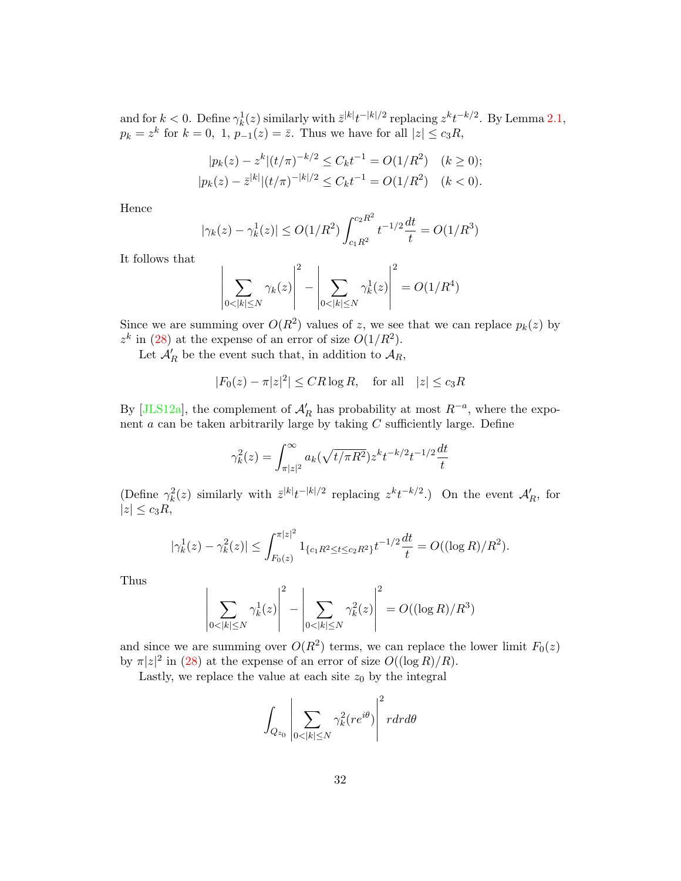and for  $k < 0$ . Define  $\gamma_k^1(z)$  similarly with  $\bar{z}^{|k|}t^{-|k|/2}$  replacing  $z^k t^{-k/2}$ . By Lemma [2.1,](#page-17-0)  $p_k = z^k$  for  $k = 0, 1, p_{-1}(z) = \overline{z}$ . Thus we have for all  $|z| \le c_3 R$ ,

$$
|p_k(z) - z^k|(t/\pi)^{-k/2} \le C_k t^{-1} = O(1/R^2) \quad (k \ge 0);
$$
  

$$
|p_k(z) - \bar{z}^{|k|}|(t/\pi)^{-|k|/2} \le C_k t^{-1} = O(1/R^2) \quad (k < 0).
$$

Hence

$$
|\gamma_k(z) - \gamma_k^1(z)| \le O(1/R^2) \int_{c_1 R^2}^{c_2 R^2} t^{-1/2} \frac{dt}{t} = O(1/R^3)
$$

It follows that

$$
\left| \sum_{0 < |k| \le N} \gamma_k(z) \right|^2 - \left| \sum_{0 < |k| \le N} \gamma_k^1(z) \right|^2 = O(1/R^4)
$$

Since we are summing over  $O(R^2)$  values of z, we see that we can replace  $p_k(z)$  by  $z<sup>k</sup>$  in [\(28\)](#page-30-0) at the expense of an error of size  $O(1/R<sup>2</sup>)$ .

Let  $\mathcal{A}'_R$  be the event such that, in addition to  $\mathcal{A}_R$ ,

$$
|F_0(z) - \pi |z|^2| \leq C R \log R, \quad \text{for all} \quad |z| \leq c_3 R
$$

By [\[JLS12a\]](#page-39-3), the complement of  $\mathcal{A}'_R$  has probability at most  $R^{-a}$ , where the exponent  $a$  can be taken arbitrarily large by taking  $C$  sufficiently large. Define

$$
\gamma_k^2(z) = \int_{\pi|z|^2}^{\infty} a_k(\sqrt{t/\pi R^2}) z^k t^{-k/2} t^{-1/2} \frac{dt}{t}
$$

(Define  $\gamma_k^2(z)$  similarly with  $\bar{z}^{|k|}t^{-|k|/2}$  replacing  $z^kt^{-k/2}$ .) On the event  $\mathcal{A}'_R$ , for  $|z| \leq c_3 R$ ,

$$
|\gamma_k^1(z) - \gamma_k^2(z)| \le \int_{F_0(z)}^{\pi|z|^2} 1_{\{c_1R^2 \le t \le c_2R^2\}} t^{-1/2} \frac{dt}{t} = O((\log R)/R^2).
$$

Thus

$$
\left|\sum_{0<|k|\leq N}\gamma_k^1(z)\right|^2 - \left|\sum_{0<|k|\leq N}\gamma_k^2(z)\right|^2 = O((\log R)/R^3)
$$

and since we are summing over  $O(R^2)$  terms, we can replace the lower limit  $F_0(z)$ by  $\pi |z|^2$  in [\(28\)](#page-30-0) at the expense of an error of size  $O((\log R)/R)$ .

Lastly, we replace the value at each site  $z_0$  by the integral

$$
\int_{Q_{z_0}}\left|\sum_{0<|k|\leq N}\gamma_k^2(re^{i\theta})\right|^2rdrd\theta
$$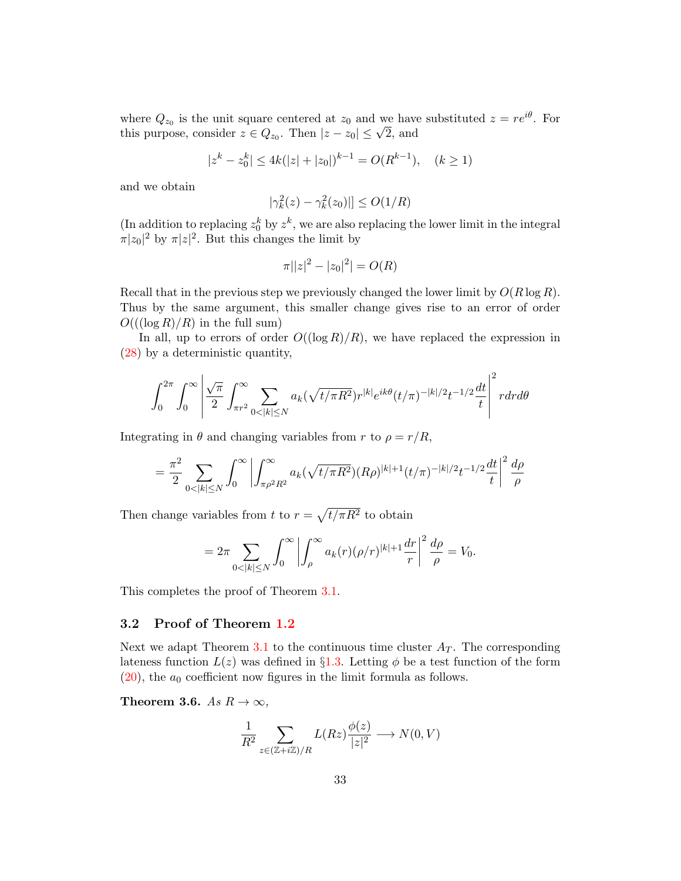where  $Q_{z_0}$  is the unit square centered at  $z_0$  and we have substituted  $z = re^{i\theta}$ . For where  $Q_{z_0}$  is the unit square centered at  $z_0$  and we have<br>this purpose, consider  $z \in Q_{z_0}$ . Then  $|z - z_0| \le \sqrt{2}$ , and

$$
|z^{k} - z_0^{k}| \le 4k(|z| + |z_0|)^{k-1} = O(R^{k-1}), \quad (k \ge 1)
$$

and we obtain

$$
|\gamma_k^2(z) - \gamma_k^2(z_0)| \le O(1/R)
$$

(In addition to replacing  $z_0^k$  by  $z^k$ , we are also replacing the lower limit in the integral  $\pi |z_0|^2$  by  $\pi |z|^2$ . But this changes the limit by

$$
\pi ||z|^2 - |z_0|^2| = O(R)
$$

Recall that in the previous step we previously changed the lower limit by  $O(R \log R)$ . Thus by the same argument, this smaller change gives rise to an error of order  $O((\log R)/R)$  in the full sum)

In all, up to errors of order  $O((\log R)/R)$ , we have replaced the expression in [\(28\)](#page-30-0) by a deterministic quantity,

$$
\int_0^{2\pi} \int_0^{\infty} \left| \frac{\sqrt{\pi}}{2} \int_{\pi r^2}^{\infty} \sum_{0 < |k| \le N} a_k (\sqrt{t/\pi R^2}) r^{|k|} e^{ik\theta} (t/\pi)^{-|k|/2} t^{-1/2} \frac{dt}{t} \right|^2 r dr d\theta
$$

Integrating in  $\theta$  and changing variables from r to  $\rho = r/R$ ,

$$
= \frac{\pi^2}{2} \sum_{0 < |k| \le N} \int_0^\infty \left| \int_{\pi \rho^2 R^2}^\infty a_k(\sqrt{t/\pi R^2})(R\rho)^{|k|+1}(t/\pi)^{-|k|/2} t^{-1/2} \frac{dt}{t} \right|^2 \frac{d\rho}{\rho}
$$

Then change variables from t to  $r = \sqrt{t/\pi R^2}$  to obtain

$$
=2\pi \sum_{0<|k|\leq N}\int_0^\infty \left|\int_\rho^\infty a_k(r)(\rho/r)^{|k|+1}\frac{dr}{r}\right|^2\frac{d\rho}{\rho}=V_0.
$$

This completes the proof of Theorem [3.1.](#page-23-0)

#### <span id="page-32-0"></span>3.2 Proof of Theorem [1.2](#page-6-0)

Next we adapt Theorem [3.1](#page-23-0) to the continuous time cluster  $A_T$ . The corresponding lateness function  $L(z)$  was defined in §[1.3.](#page-4-1) Letting  $\phi$  be a test function of the form  $(20)$ , the  $a_0$  coefficient now figures in the limit formula as follows.

<span id="page-32-1"></span>Theorem 3.6. As  $R \to \infty$ ,

$$
\frac{1}{R^2} \sum_{z \in (\mathbb{Z} + i\mathbb{Z})/R} L(Rz) \frac{\phi(z)}{|z|^2} \longrightarrow N(0, V)
$$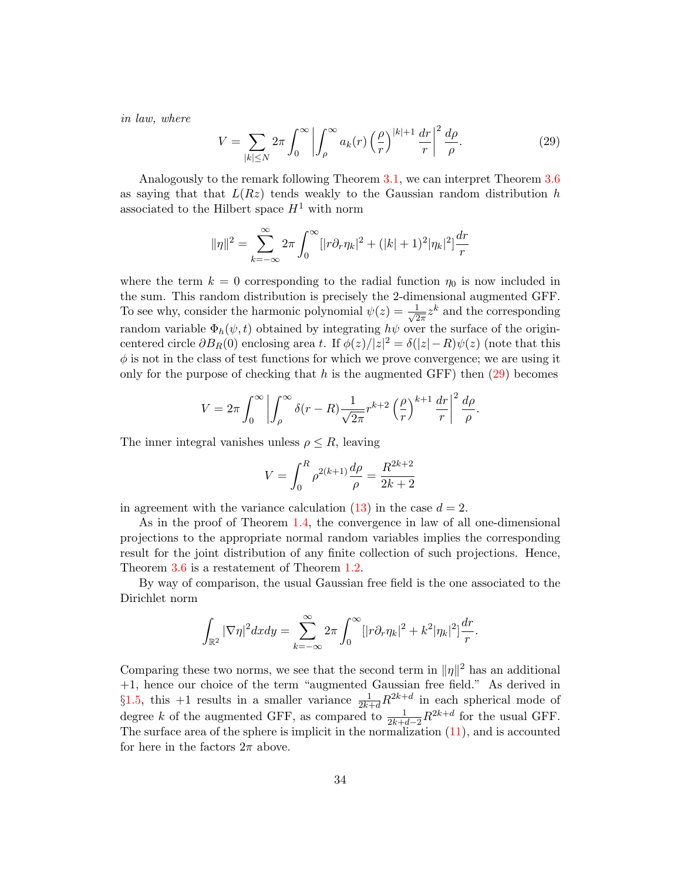in law, where

<span id="page-33-0"></span>
$$
V = \sum_{|k| \le N} 2\pi \int_0^\infty \left| \int_\rho^\infty a_k(r) \left( \frac{\rho}{r} \right)^{|k|+1} \frac{dr}{r} \right|^2 \frac{d\rho}{\rho}.
$$
 (29)

Analogously to the remark following Theorem [3.1,](#page-23-0) we can interpret Theorem [3.6](#page-32-1) as saying that that  $L(Rz)$  tends weakly to the Gaussian random distribution h associated to the Hilbert space  $H^1$  with norm

$$
\|\eta\|^2 = \sum_{k=-\infty}^{\infty} 2\pi \int_0^{\infty} [|\tau \partial_r \eta_k|^2 + (|k|+1)^2 |\eta_k|^2] \frac{dr}{r}
$$

where the term  $k = 0$  corresponding to the radial function  $\eta_0$  is now included in the sum. This random distribution is precisely the 2-dimensional augmented GFF. To see why, consider the harmonic polynomial  $\psi(z) = \frac{1}{\sqrt{2}}$  $\frac{1}{2\pi}z^k$  and the corresponding random variable  $\Phi_h(\psi, t)$  obtained by integrating  $h\psi$  over the surface of the origincentered circle  $\partial B_R(0)$  enclosing area t. If  $\phi(z)/|z|^2 = \delta(|z| - R)\psi(z)$  (note that this  $\phi$  is not in the class of test functions for which we prove convergence; we are using it only for the purpose of checking that h is the augmented GFF) then  $(29)$  becomes

$$
V = 2\pi \int_0^\infty \left| \int_\rho^\infty \delta(r - R) \frac{1}{\sqrt{2\pi}} r^{k+2} \left(\frac{\rho}{r}\right)^{k+1} \frac{dr}{r} \right|^2 \frac{d\rho}{\rho}.
$$

The inner integral vanishes unless  $\rho \leq R$ , leaving

$$
V = \int_0^R \rho^{2(k+1)} \frac{d\rho}{\rho} = \frac{R^{2k+2}}{2k+2}
$$

in agreement with the variance calculation  $(13)$  in the case  $d = 2$ .

As in the proof of Theorem [1.4,](#page-10-0) the convergence in law of all one-dimensional projections to the appropriate normal random variables implies the corresponding result for the joint distribution of any finite collection of such projections. Hence, Theorem [3.6](#page-32-1) is a restatement of Theorem [1.2.](#page-6-0)

By way of comparison, the usual Gaussian free field is the one associated to the Dirichlet norm

$$
\int_{\mathbb{R}^2} |\nabla \eta|^2 dx dy = \sum_{k=-\infty}^{\infty} 2\pi \int_0^{\infty} [|\hat{r} \partial_r \eta_k|^2 + k^2 |\eta_k|^2] \frac{dr}{r}.
$$

Comparing these two norms, we see that the second term in  $\|\eta\|^2$  has an additional +1, hence our choice of the term "augmented Gaussian free field." As derived in §[1.5,](#page-12-0) this +1 results in a smaller variance  $\frac{1}{2k+d}R^{2k+d}$  in each spherical mode of degree k of the augmented GFF, as compared to  $\frac{1}{2k+d-2}R^{2k+d}$  for the usual GFF. The surface area of the sphere is implicit in the normalization [\(11\)](#page-13-3), and is accounted for here in the factors  $2\pi$  above.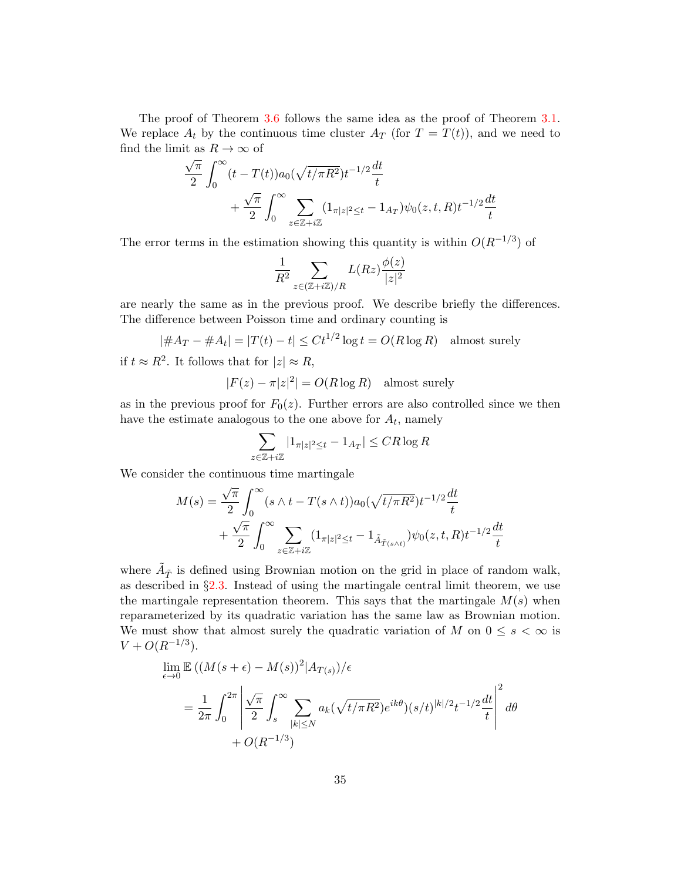The proof of Theorem [3.6](#page-32-1) follows the same idea as the proof of Theorem [3.1.](#page-23-0) We replace  $A_t$  by the continuous time cluster  $A_T$  (for  $T = T(t)$ ), and we need to find the limit as  $R \to \infty$  of

$$
\frac{\sqrt{\pi}}{2} \int_0^\infty (t - T(t)) a_0(\sqrt{t/\pi R^2}) t^{-1/2} \frac{dt}{t} \n+ \frac{\sqrt{\pi}}{2} \int_0^\infty \sum_{z \in \mathbb{Z} + i\mathbb{Z}} (1_{\pi |z|^2 \le t} - 1_{A_T}) \psi_0(z, t, R) t^{-1/2} \frac{dt}{t}
$$

The error terms in the estimation showing this quantity is within  $O(R^{-1/3})$  of

$$
\frac{1}{R^2} \sum_{z \in (\mathbb{Z} + i\mathbb{Z})/R} L(Rz) \frac{\phi(z)}{|z|^2}
$$

are nearly the same as in the previous proof. We describe briefly the differences. The difference between Poisson time and ordinary counting is

$$
|\#A_T - \#A_t| = |T(t) - t| \le Ct^{1/2} \log t = O(R \log R)
$$
 almost surely

if  $t \approx R^2$ . It follows that for  $|z| \approx R$ ,

$$
|F(z) - \pi |z|^2| = O(R \log R)
$$
 almost surely

as in the previous proof for  $F_0(z)$ . Further errors are also controlled since we then have the estimate analogous to the one above for  $A_t$ , namely

$$
\sum_{z \in \mathbb{Z} + i\mathbb{Z}} |1_{\pi|z|^2 \le t} - 1_{A_T} | \le CR \log R
$$

We consider the continuous time martingale

$$
M(s) = \frac{\sqrt{\pi}}{2} \int_0^\infty (s \wedge t - T(s \wedge t)) a_0(\sqrt{t/\pi R^2}) t^{-1/2} \frac{dt}{t} + \frac{\sqrt{\pi}}{2} \int_0^\infty \sum_{z \in \mathbb{Z} + i\mathbb{Z}} (1_{\pi |z|^2 \le t} - 1_{\tilde{A}_{\tilde{T}(s \wedge t)}}) \psi_0(z, t, R) t^{-1/2} \frac{dt}{t}
$$

where  $\tilde{A}_{\tilde{T}}$  is defined using Brownian motion on the grid in place of random walk, as described in  $\S 2.3$ . Instead of using the martingale central limit theorem, we use the martingale representation theorem. This says that the martingale  $M(s)$  when reparameterized by its quadratic variation has the same law as Brownian motion. We must show that almost surely the quadratic variation of M on  $0 \leq s < \infty$  is  $V + O(R^{-1/3}).$ 

$$
\lim_{\epsilon \to 0} \mathbb{E} \left( (M(s + \epsilon) - M(s))^2 | A_{T(s)} \right) / \epsilon
$$
\n
$$
= \frac{1}{2\pi} \int_0^{2\pi} \left| \frac{\sqrt{\pi}}{2} \int_s^{\infty} \sum_{|k| \le N} a_k (\sqrt{t/\pi R^2}) e^{ik\theta} (s/t)^{|k|/2} t^{-1/2} \frac{dt}{t} \right|^2 d\theta
$$
\n
$$
+ O(R^{-1/3})
$$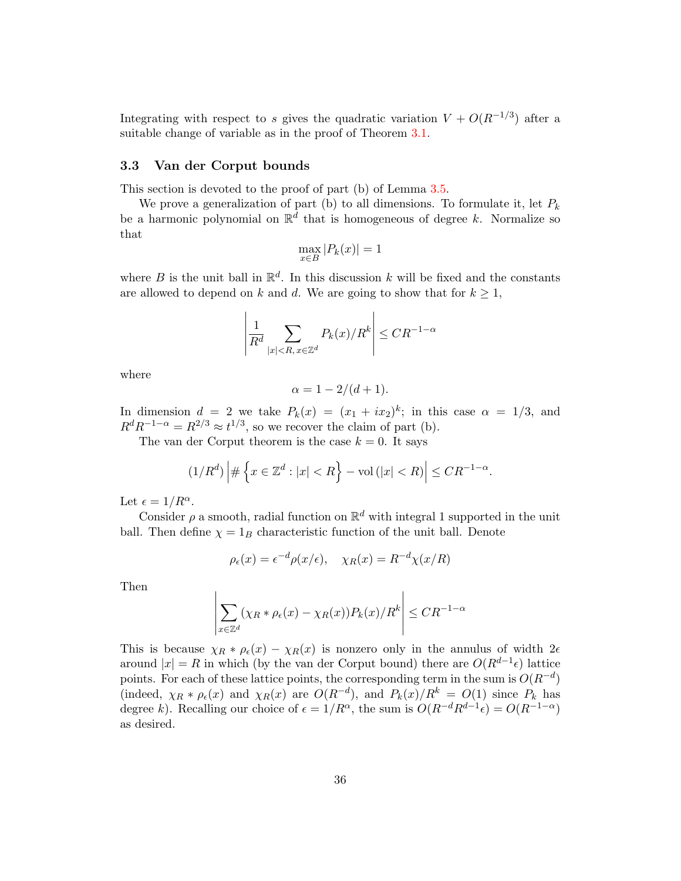Integrating with respect to s gives the quadratic variation  $V + O(R^{-1/3})$  after a suitable change of variable as in the proof of Theorem [3.1.](#page-23-0)

#### <span id="page-35-0"></span>3.3 Van der Corput bounds

This section is devoted to the proof of part (b) of Lemma [3.5.](#page-27-2)

We prove a generalization of part (b) to all dimensions. To formulate it, let  $P_k$ be a harmonic polynomial on  $\mathbb{R}^d$  that is homogeneous of degree k. Normalize so that

$$
\max_{x \in B} |P_k(x)| = 1
$$

where B is the unit ball in  $\mathbb{R}^d$ . In this discussion k will be fixed and the constants are allowed to depend on k and d. We are going to show that for  $k \geq 1$ ,

$$
\left| \frac{1}{R^d} \sum_{|x| < R, x \in \mathbb{Z}^d} P_k(x) / R^k \right| \leq C R^{-1-\alpha}
$$

where

$$
\alpha = 1 - 2/(d+1).
$$

In dimension  $d = 2$  we take  $P_k(x) = (x_1 + ix_2)^k$ ; in this case  $\alpha = 1/3$ , and  $R^d R^{-1-\alpha} = R^{2/3} \approx t^{1/3}$ , so we recover the claim of part (b).

The van der Corput theorem is the case  $k = 0$ . It says

$$
(1/R^d) \left| \# \left\{ x \in \mathbb{Z}^d : |x| < R \right\} - \text{vol} \left( |x| < R \right) \right| \leq C R^{-1-\alpha}.
$$

Let  $\epsilon = 1/R^{\alpha}$ .

Consider  $\rho$  a smooth, radial function on  $\mathbb{R}^d$  with integral 1 supported in the unit ball. Then define  $\chi = 1_B$  characteristic function of the unit ball. Denote

$$
\rho_{\epsilon}(x) = \epsilon^{-d} \rho(x/\epsilon), \quad \chi_R(x) = R^{-d} \chi(x/R)
$$

Then

$$
\left| \sum_{x \in \mathbb{Z}^d} (\chi_R * \rho_\epsilon(x) - \chi_R(x)) P_k(x) / R^k \right| \leq C R^{-1-\alpha}
$$

This is because  $\chi_R * \rho_{\epsilon}(x) - \chi_R(x)$  is nonzero only in the annulus of width  $2\epsilon$ around  $|x| = R$  in which (by the van der Corput bound) there are  $O(R^{d-1} \epsilon)$  lattice points. For each of these lattice points, the corresponding term in the sum is  $O(R^{-d})$ (indeed,  $\chi_R * \rho_\epsilon(x)$  and  $\chi_R(x)$  are  $O(R^{-d})$ , and  $P_k(x)/R^k = O(1)$  since  $P_k$  has degree k). Recalling our choice of  $\epsilon = 1/R^{\alpha}$ , the sum is  $O(R^{-d}R^{d-1}\epsilon) = O(R^{-1-\alpha})$ as desired.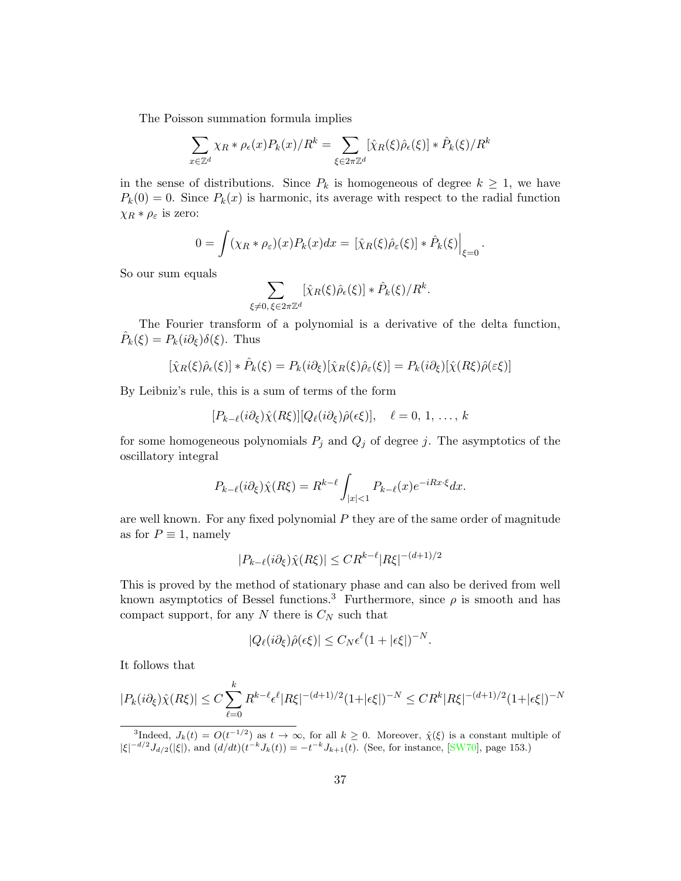The Poisson summation formula implies

$$
\sum_{x \in \mathbb{Z}^d} \chi_R * \rho_{\epsilon}(x) P_k(x) / R^k = \sum_{\xi \in 2\pi \mathbb{Z}^d} [\hat{\chi}_R(\xi) \hat{\rho}_{\epsilon}(\xi)] * \hat{P}_k(\xi) / R^k
$$

in the sense of distributions. Since  $P_k$  is homogeneous of degree  $k \geq 1$ , we have  $P_k(0) = 0$ . Since  $P_k(x)$  is harmonic, its average with respect to the radial function  $\chi_R * \rho_{\varepsilon}$  is zero:

$$
0 = \int (\chi_R * \rho_{\varepsilon})(x) P_k(x) dx = \left[ \hat{\chi}_R(\xi) \hat{\rho}_{\varepsilon}(\xi) \right] * \hat{P}_k(\xi) \Big|_{\xi=0}.
$$

So our sum equals

$$
\sum_{\xi \neq 0, \xi \in 2\pi \mathbb{Z}^d} [\hat{\chi}_R(\xi)\hat{\rho}_{\epsilon}(\xi)] * \hat{P}_k(\xi)/R^k.
$$

The Fourier transform of a polynomial is a derivative of the delta function,  $\hat{P}_k(\xi) = P_k(i\partial_\xi)\delta(\xi)$ . Thus

$$
[\hat{\chi}_R(\xi)\hat{\rho}_{\epsilon}(\xi)] * \hat{P}_k(\xi) = P_k(i\partial_{\xi})[\hat{\chi}_R(\xi)\hat{\rho}_{\epsilon}(\xi)] = P_k(i\partial_{\xi})[\hat{\chi}(R\xi)\hat{\rho}(\epsilon\xi)]
$$

By Leibniz's rule, this is a sum of terms of the form

$$
[P_{k-\ell}(i\partial_{\xi})\hat{\chi}(R\xi)][Q_{\ell}(i\partial_{\xi})\hat{\rho}(\epsilon\xi)], \quad \ell=0, 1, \ldots, k
$$

for some homogeneous polynomials  $P_j$  and  $Q_j$  of degree j. The asymptotics of the oscillatory integral

$$
P_{k-\ell}(i\partial_{\xi})\hat{\chi}(R\xi) = R^{k-\ell} \int_{|x|<1} P_{k-\ell}(x)e^{-iRx\cdot\xi}dx.
$$

are well known. For any fixed polynomial  $P$  they are of the same order of magnitude as for  $P \equiv 1$ , namely

$$
|P_{k-\ell}(i\partial_{\xi})\hat{\chi}(R\xi)| \leq CR^{k-\ell}|R\xi|^{-(d+1)/2}
$$

This is proved by the method of stationary phase and can also be derived from well known asymptotics of Bessel functions.<sup>3</sup> Furthermore, since  $\rho$  is smooth and has compact support, for any  $N$  there is  $C_N$  such that

$$
|Q_{\ell}(i\partial_{\xi})\hat{\rho}(\epsilon\xi)| \leq C_N \epsilon^{\ell} (1+|\epsilon\xi|)^{-N}.
$$

It follows that

$$
|P_k(i\partial_\xi)\hat{\chi}(R\xi)| \le C \sum_{\ell=0}^k R^{k-\ell} \epsilon^\ell |R\xi|^{-(d+1)/2} (1+|\epsilon\xi|)^{-N} \le C R^k |R\xi|^{-(d+1)/2} (1+|\epsilon\xi|)^{-N}
$$

<sup>&</sup>lt;sup>3</sup>Indeed,  $J_k(t) = O(t^{-1/2})$  as  $t \to \infty$ , for all  $k \geq 0$ . Moreover,  $\hat{\chi}(\xi)$  is a constant multiple of  $|\xi|^{-d/2} J_{d/2}(|\xi|)$ , and  $(d/dt)(t^{-k} J_k(t)) = -t^{-k} J_{k+1}(t)$ . (See, for instance, [\[SW70\]](#page-39-12), page 153.)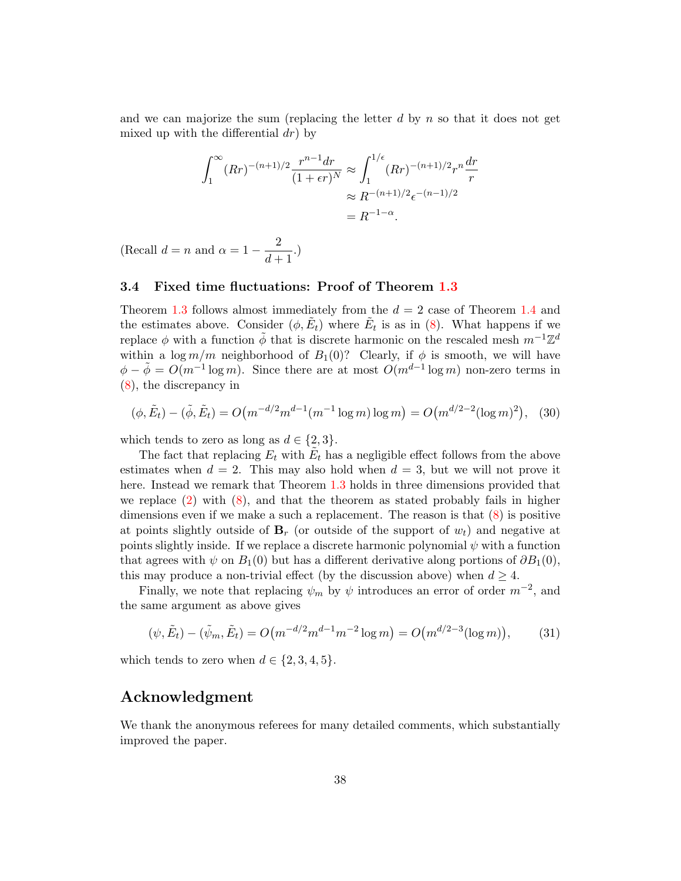and we can majorize the sum (replacing the letter  $d$  by  $n$  so that it does not get mixed up with the differential  $dr$ ) by

$$
\int_{1}^{\infty} (Rr)^{-(n+1)/2} \frac{r^{n-1} dr}{(1 + \epsilon r)^N} \approx \int_{1}^{1/\epsilon} (Rr)^{-(n+1)/2} r^n \frac{dr}{r}
$$

$$
\approx R^{-(n+1)/2} \epsilon^{-(n-1)/2}
$$

$$
= R^{-1-\alpha}.
$$

(Recall  $d = n$  and  $\alpha = 1 - \frac{2}{16}$  $\frac{2}{d+1}$ .)

#### <span id="page-37-0"></span>3.4 Fixed time fluctuations: Proof of Theorem [1.3](#page-6-1)

Theorem [1.3](#page-6-1) follows almost immediately from the  $d = 2$  case of Theorem [1.4](#page-10-0) and the estimates above. Consider  $(\phi, \tilde{E}_t)$  where  $\tilde{E}_t$  is as in [\(8\)](#page-11-1). What happens if we replace  $\phi$  with a function  $\tilde{\phi}$  that is discrete harmonic on the rescaled mesh  $m^{-1}\mathbb{Z}^d$ within a  $\log m/m$  neighborhood of  $B_1(0)$ ? Clearly, if  $\phi$  is smooth, we will have  $\phi - \tilde{\phi} = O(m^{-1} \log m)$ . Since there are at most  $O(m^{d-1} \log m)$  non-zero terms in [\(8\)](#page-11-1), the discrepancy in

$$
(\phi, \tilde{E}_t) - (\tilde{\phi}, \tilde{E}_t) = O\big(m^{-d/2} m^{d-1} (m^{-1} \log m) \log m\big) = O\big(m^{d/2 - 2} (\log m)^2\big), \quad (30)
$$

which tends to zero as long as  $d \in \{2,3\}.$ 

The fact that replacing  $E_t$  with  $\tilde{E}_t$  has a negligible effect follows from the above estimates when  $d = 2$ . This may also hold when  $d = 3$ , but we will not prove it here. Instead we remark that Theorem [1.3](#page-6-1) holds in three dimensions provided that we replace  $(2)$  with  $(8)$ , and that the theorem as stated probably fails in higher dimensions even if we make a such a replacement. The reason is that  $(8)$  is positive at points slightly outside of  $B_r$  (or outside of the support of  $w_t$ ) and negative at points slightly inside. If we replace a discrete harmonic polynomial  $\psi$  with a function that agrees with  $\psi$  on  $B_1(0)$  but has a different derivative along portions of  $\partial B_1(0)$ , this may produce a non-trivial effect (by the discussion above) when  $d \geq 4$ .

Finally, we note that replacing  $\psi_m$  by  $\psi$  introduces an error of order  $m^{-2}$ , and the same argument as above gives

$$
(\psi, \tilde{E}_t) - (\tilde{\psi}_m, \tilde{E}_t) = O\big(m^{-d/2} m^{d-1} m^{-2} \log m\big) = O\big(m^{d/2 - 3} (\log m)\big),\tag{31}
$$

which tends to zero when  $d \in \{2, 3, 4, 5\}.$ 

## Acknowledgment

We thank the anonymous referees for many detailed comments, which substantially improved the paper.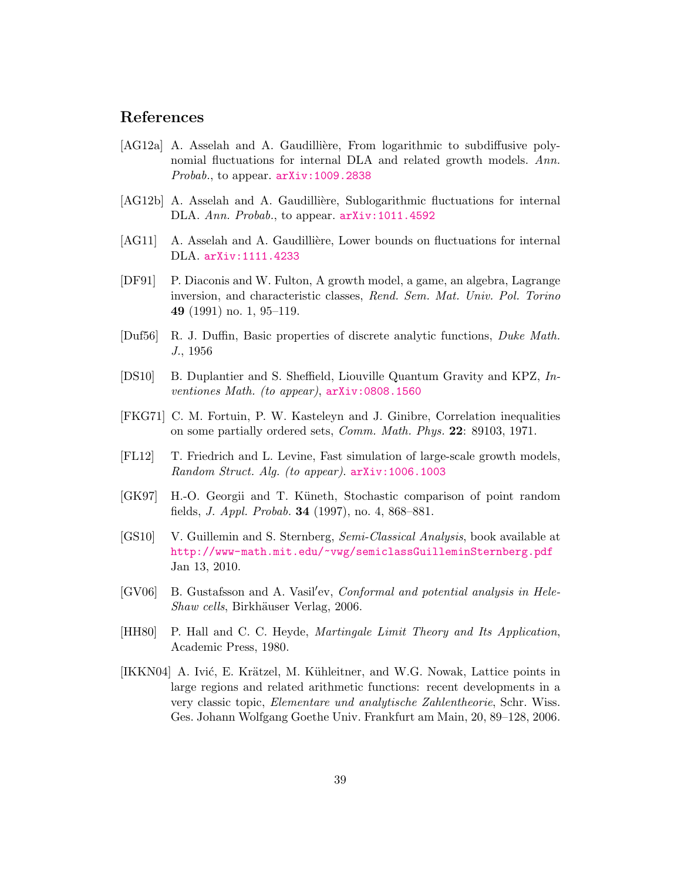## References

- <span id="page-38-2"></span>[AG12a] A. Asselah and A. Gaudillière, From logarithmic to subdiffusive polynomial fluctuations for internal DLA and related growth models. Ann. Probab., to appear. arXiv: 1009.2838
- <span id="page-38-3"></span>[AG12b] A. Asselah and A. Gaudillière, Sublogarithmic fluctuations for internal DLA. Ann. Probab., to appear.  $arXiv:1011.4592$
- <span id="page-38-5"></span>[AG11] A. Asselah and A. Gaudillière, Lower bounds on fluctuations for internal DLA. [arXiv:1111.4233](http://arxiv.org/abs/1111.4233)
- <span id="page-38-0"></span>[DF91] P. Diaconis and W. Fulton, A growth model, a game, an algebra, Lagrange inversion, and characteristic classes, Rend. Sem. Mat. Univ. Pol. Torino 49 (1991) no. 1, 95–119.
- <span id="page-38-10"></span>[Duf56] R. J. Duffin, Basic properties of discrete analytic functions, Duke Math. J., 1956
- <span id="page-38-7"></span>[DS10] B. Duplantier and S. Sheffield, Liouville Quantum Gravity and KPZ, Inventiones Math. (to appear), [arXiv:0808.1560](http://arxiv.org/abs/0808.1560)
- <span id="page-38-9"></span>[FKG71] C. M. Fortuin, P. W. Kasteleyn and J. Ginibre, Correlation inequalities on some partially ordered sets, Comm. Math. Phys. 22: 89103, 1971.
- <span id="page-38-4"></span>[FL12] T. Friedrich and L. Levine, Fast simulation of large-scale growth models, Random Struct. Alg. (to appear). [arXiv:1006.1003](http://arxiv.org/abs/1006.1003)
- <span id="page-38-8"></span>[GK97] H.-O. Georgii and T. Küneth, Stochastic comparison of point random fields, J. Appl. Probab. 34 (1997), no. 4, 868–881.
- <span id="page-38-11"></span>[GS10] V. Guillemin and S. Sternberg, Semi-Classical Analysis, book available at <http://www-math.mit.edu/~vwg/semiclassGuilleminSternberg.pdf> Jan 13, 2010.
- <span id="page-38-1"></span>[GV06] B. Gustafsson and A. Vasil'ev, Conformal and potential analysis in Hele-Shaw cells, Birkhäuser Verlag, 2006.
- <span id="page-38-12"></span>[HH80] P. Hall and C. C. Heyde, *Martingale Limit Theory and Its Application*, Academic Press, 1980.
- <span id="page-38-6"></span>[IKKN04] A. Ivić, E. Krätzel, M. Kühleitner, and W.G. Nowak, Lattice points in large regions and related arithmetic functions: recent developments in a very classic topic, Elementare und analytische Zahlentheorie, Schr. Wiss. Ges. Johann Wolfgang Goethe Univ. Frankfurt am Main, 20, 89–128, 2006.